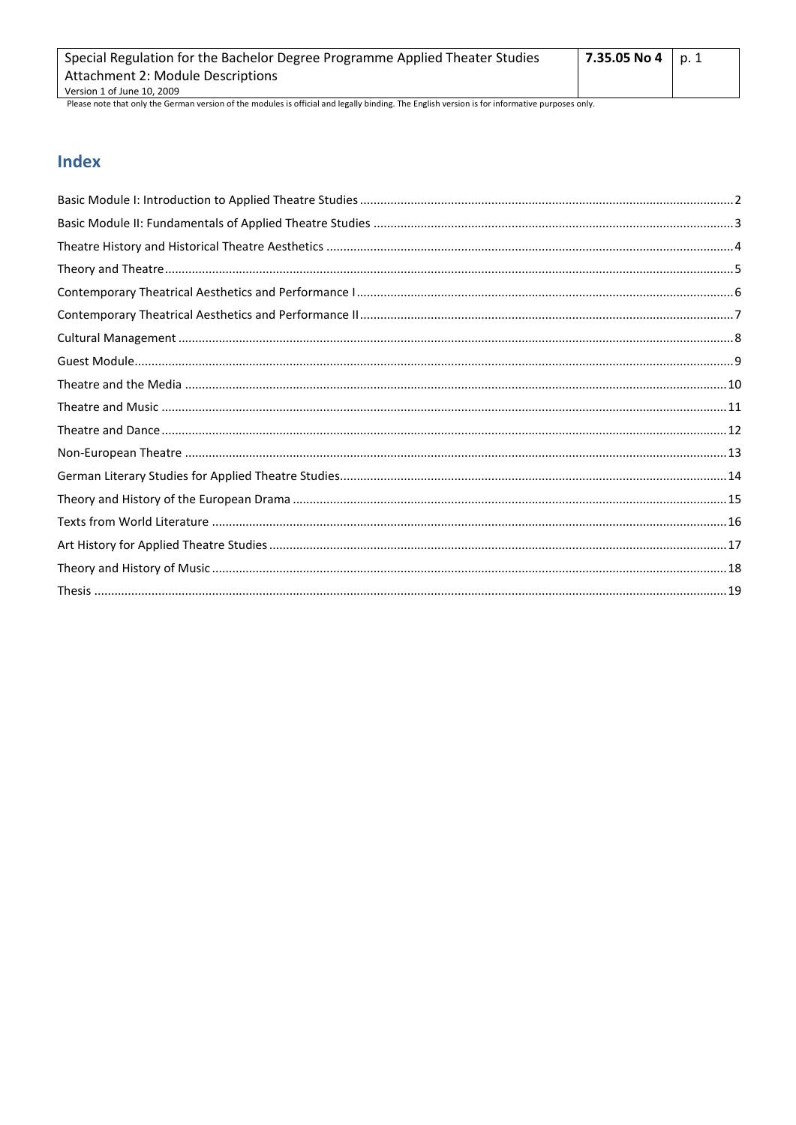| Special Regulation for the Bachelor Degree Programme Applied Theater Studies | 7.35.05 No 4   p. 1 |  |
|------------------------------------------------------------------------------|---------------------|--|
| <b>Attachment 2: Module Descriptions</b>                                     |                     |  |
| Version 1 of June 10, 2009                                                   |                     |  |
|                                                                              |                     |  |

# **Index**

ı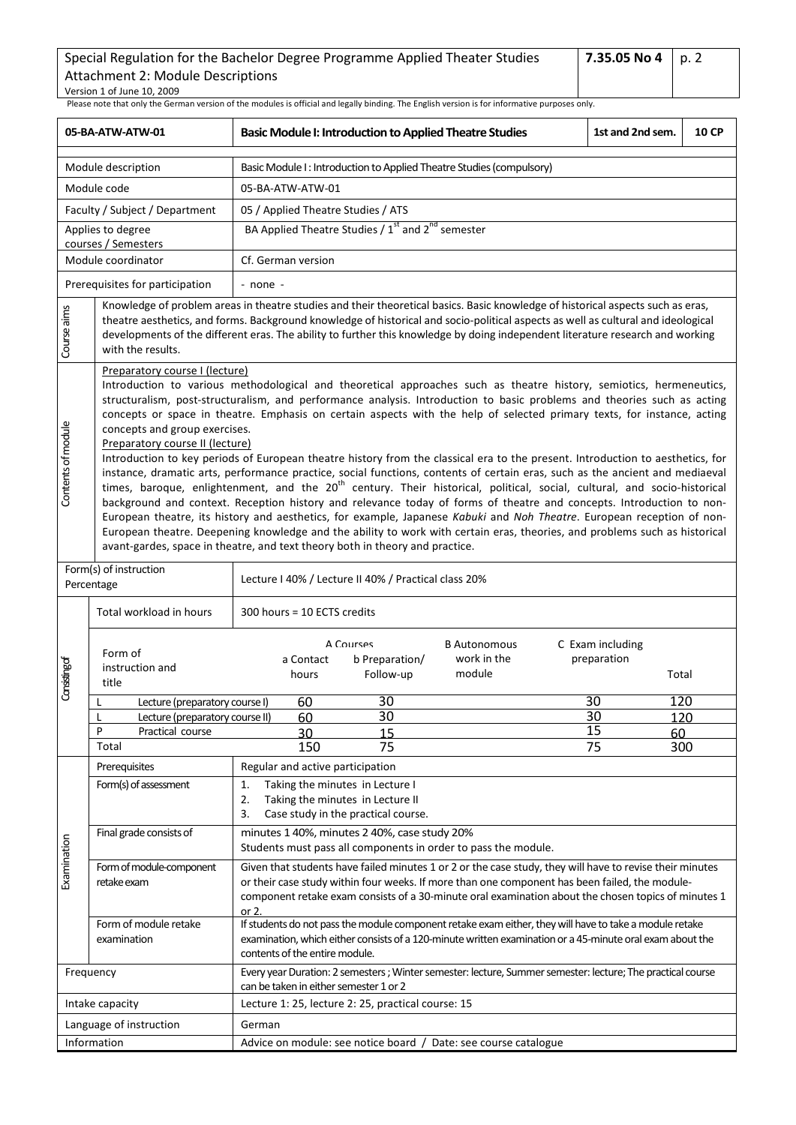<span id="page-1-0"></span>

| 05-BA-ATW-ATW-01                                                                                                                                                                                                                                                                                                                                                                                                                           |                                                                                                    | <b>Basic Module I: Introduction to Applied Theatre Studies</b><br>1st and 2nd sem.                                                                                                                                                                                                                                                                                                                                                                                                                                                                                                                                                                                                                                                                                                                                                                                                                                                                                                                                                                                                                                                                                                                                                                  |  |                                          | <b>10 CP</b> |  |  |  |
|--------------------------------------------------------------------------------------------------------------------------------------------------------------------------------------------------------------------------------------------------------------------------------------------------------------------------------------------------------------------------------------------------------------------------------------------|----------------------------------------------------------------------------------------------------|-----------------------------------------------------------------------------------------------------------------------------------------------------------------------------------------------------------------------------------------------------------------------------------------------------------------------------------------------------------------------------------------------------------------------------------------------------------------------------------------------------------------------------------------------------------------------------------------------------------------------------------------------------------------------------------------------------------------------------------------------------------------------------------------------------------------------------------------------------------------------------------------------------------------------------------------------------------------------------------------------------------------------------------------------------------------------------------------------------------------------------------------------------------------------------------------------------------------------------------------------------|--|------------------------------------------|--------------|--|--|--|
|                                                                                                                                                                                                                                                                                                                                                                                                                                            | Module description                                                                                 | Basic Module I: Introduction to Applied Theatre Studies (compulsory)                                                                                                                                                                                                                                                                                                                                                                                                                                                                                                                                                                                                                                                                                                                                                                                                                                                                                                                                                                                                                                                                                                                                                                                |  |                                          |              |  |  |  |
|                                                                                                                                                                                                                                                                                                                                                                                                                                            | Module code                                                                                        | 05-BA-ATW-ATW-01                                                                                                                                                                                                                                                                                                                                                                                                                                                                                                                                                                                                                                                                                                                                                                                                                                                                                                                                                                                                                                                                                                                                                                                                                                    |  |                                          |              |  |  |  |
|                                                                                                                                                                                                                                                                                                                                                                                                                                            | Faculty / Subject / Department                                                                     | 05 / Applied Theatre Studies / ATS                                                                                                                                                                                                                                                                                                                                                                                                                                                                                                                                                                                                                                                                                                                                                                                                                                                                                                                                                                                                                                                                                                                                                                                                                  |  |                                          |              |  |  |  |
|                                                                                                                                                                                                                                                                                                                                                                                                                                            | Applies to degree                                                                                  | BA Applied Theatre Studies / 1 <sup>st</sup> and 2 <sup>nd</sup> semester                                                                                                                                                                                                                                                                                                                                                                                                                                                                                                                                                                                                                                                                                                                                                                                                                                                                                                                                                                                                                                                                                                                                                                           |  |                                          |              |  |  |  |
|                                                                                                                                                                                                                                                                                                                                                                                                                                            | courses / Semesters<br>Module coordinator                                                          | Cf. German version                                                                                                                                                                                                                                                                                                                                                                                                                                                                                                                                                                                                                                                                                                                                                                                                                                                                                                                                                                                                                                                                                                                                                                                                                                  |  |                                          |              |  |  |  |
|                                                                                                                                                                                                                                                                                                                                                                                                                                            | Prerequisites for participation                                                                    | - none -                                                                                                                                                                                                                                                                                                                                                                                                                                                                                                                                                                                                                                                                                                                                                                                                                                                                                                                                                                                                                                                                                                                                                                                                                                            |  |                                          |              |  |  |  |
| Knowledge of problem areas in theatre studies and their theoretical basics. Basic knowledge of historical aspects such as eras,<br>Course aims<br>theatre aesthetics, and forms. Background knowledge of historical and socio-political aspects as well as cultural and ideological<br>developments of the different eras. The ability to further this knowledge by doing independent literature research and working<br>with the results. |                                                                                                    |                                                                                                                                                                                                                                                                                                                                                                                                                                                                                                                                                                                                                                                                                                                                                                                                                                                                                                                                                                                                                                                                                                                                                                                                                                                     |  |                                          |              |  |  |  |
| Contents of module                                                                                                                                                                                                                                                                                                                                                                                                                         | Preparatory course I (lecture)<br>concepts and group exercises.<br>Preparatory course II (lecture) | Introduction to various methodological and theoretical approaches such as theatre history, semiotics, hermeneutics,<br>structuralism, post-structuralism, and performance analysis. Introduction to basic problems and theories such as acting<br>concepts or space in theatre. Emphasis on certain aspects with the help of selected primary texts, for instance, acting<br>Introduction to key periods of European theatre history from the classical era to the present. Introduction to aesthetics, for<br>instance, dramatic arts, performance practice, social functions, contents of certain eras, such as the ancient and mediaeval<br>times, baroque, enlightenment, and the 20 <sup>th</sup> century. Their historical, political, social, cultural, and socio-historical<br>background and context. Reception history and relevance today of forms of theatre and concepts. Introduction to non-<br>European theatre, its history and aesthetics, for example, Japanese Kabuki and Noh Theatre. European reception of non-<br>European theatre. Deepening knowledge and the ability to work with certain eras, theories, and problems such as historical<br>avant-gardes, space in theatre, and text theory both in theory and practice. |  |                                          |              |  |  |  |
|                                                                                                                                                                                                                                                                                                                                                                                                                                            | Form(s) of instruction<br>Percentage                                                               | Lecture I 40% / Lecture II 40% / Practical class 20%                                                                                                                                                                                                                                                                                                                                                                                                                                                                                                                                                                                                                                                                                                                                                                                                                                                                                                                                                                                                                                                                                                                                                                                                |  |                                          |              |  |  |  |
|                                                                                                                                                                                                                                                                                                                                                                                                                                            | Total workload in hours                                                                            | 300 hours = 10 ECTS credits                                                                                                                                                                                                                                                                                                                                                                                                                                                                                                                                                                                                                                                                                                                                                                                                                                                                                                                                                                                                                                                                                                                                                                                                                         |  |                                          |              |  |  |  |
| Consisting of                                                                                                                                                                                                                                                                                                                                                                                                                              | Form of<br>instruction and<br>title                                                                | A Courses<br><b>B</b> Autonomous<br>work in the<br>b Preparation/<br>a Contact<br>module<br>Follow-up<br>hours                                                                                                                                                                                                                                                                                                                                                                                                                                                                                                                                                                                                                                                                                                                                                                                                                                                                                                                                                                                                                                                                                                                                      |  | C Exam including<br>preparation<br>Total |              |  |  |  |
|                                                                                                                                                                                                                                                                                                                                                                                                                                            | Lecture (preparatory course I)                                                                     | 30<br>60                                                                                                                                                                                                                                                                                                                                                                                                                                                                                                                                                                                                                                                                                                                                                                                                                                                                                                                                                                                                                                                                                                                                                                                                                                            |  | 120<br>30                                |              |  |  |  |
|                                                                                                                                                                                                                                                                                                                                                                                                                                            | Lecture (preparatory course II)<br>P                                                               | $\overline{30}$<br>60                                                                                                                                                                                                                                                                                                                                                                                                                                                                                                                                                                                                                                                                                                                                                                                                                                                                                                                                                                                                                                                                                                                                                                                                                               |  | $\overline{30}$<br>120<br>15             |              |  |  |  |
|                                                                                                                                                                                                                                                                                                                                                                                                                                            | Practical course<br>Total                                                                          | 30<br>15<br>150<br>75                                                                                                                                                                                                                                                                                                                                                                                                                                                                                                                                                                                                                                                                                                                                                                                                                                                                                                                                                                                                                                                                                                                                                                                                                               |  | 60<br>75<br>300                          |              |  |  |  |
|                                                                                                                                                                                                                                                                                                                                                                                                                                            | Prerequisites                                                                                      | Regular and active participation                                                                                                                                                                                                                                                                                                                                                                                                                                                                                                                                                                                                                                                                                                                                                                                                                                                                                                                                                                                                                                                                                                                                                                                                                    |  |                                          |              |  |  |  |
|                                                                                                                                                                                                                                                                                                                                                                                                                                            | Form(s) of assessment                                                                              | Taking the minutes in Lecture I<br>1.<br>2.<br>Taking the minutes in Lecture II<br>3.<br>Case study in the practical course.                                                                                                                                                                                                                                                                                                                                                                                                                                                                                                                                                                                                                                                                                                                                                                                                                                                                                                                                                                                                                                                                                                                        |  |                                          |              |  |  |  |
|                                                                                                                                                                                                                                                                                                                                                                                                                                            | Final grade consists of                                                                            | minutes 1 40%, minutes 2 40%, case study 20%<br>Students must pass all components in order to pass the module.                                                                                                                                                                                                                                                                                                                                                                                                                                                                                                                                                                                                                                                                                                                                                                                                                                                                                                                                                                                                                                                                                                                                      |  |                                          |              |  |  |  |
| Examination                                                                                                                                                                                                                                                                                                                                                                                                                                | Form of module-component<br>retake exam                                                            | Given that students have failed minutes 1 or 2 or the case study, they will have to revise their minutes<br>or their case study within four weeks. If more than one component has been failed, the module-<br>component retake exam consists of a 30-minute oral examination about the chosen topics of minutes 1<br>or 2.                                                                                                                                                                                                                                                                                                                                                                                                                                                                                                                                                                                                                                                                                                                                                                                                                                                                                                                          |  |                                          |              |  |  |  |
|                                                                                                                                                                                                                                                                                                                                                                                                                                            | Form of module retake<br>examination                                                               | If students do not pass the module component retake exam either, they will have to take a module retake<br>examination, which either consists of a 120-minute written examination or a 45-minute oral exam about the<br>contents of the entire module.                                                                                                                                                                                                                                                                                                                                                                                                                                                                                                                                                                                                                                                                                                                                                                                                                                                                                                                                                                                              |  |                                          |              |  |  |  |
|                                                                                                                                                                                                                                                                                                                                                                                                                                            | Frequency                                                                                          | Every year Duration: 2 semesters ; Winter semester: lecture, Summer semester: lecture; The practical course<br>can be taken in either semester 1 or 2                                                                                                                                                                                                                                                                                                                                                                                                                                                                                                                                                                                                                                                                                                                                                                                                                                                                                                                                                                                                                                                                                               |  |                                          |              |  |  |  |
|                                                                                                                                                                                                                                                                                                                                                                                                                                            | Intake capacity                                                                                    | Lecture 1: 25, lecture 2: 25, practical course: 15                                                                                                                                                                                                                                                                                                                                                                                                                                                                                                                                                                                                                                                                                                                                                                                                                                                                                                                                                                                                                                                                                                                                                                                                  |  |                                          |              |  |  |  |
|                                                                                                                                                                                                                                                                                                                                                                                                                                            | Language of instruction                                                                            | German                                                                                                                                                                                                                                                                                                                                                                                                                                                                                                                                                                                                                                                                                                                                                                                                                                                                                                                                                                                                                                                                                                                                                                                                                                              |  |                                          |              |  |  |  |
|                                                                                                                                                                                                                                                                                                                                                                                                                                            | Information                                                                                        | Advice on module: see notice board / Date: see course catalogue                                                                                                                                                                                                                                                                                                                                                                                                                                                                                                                                                                                                                                                                                                                                                                                                                                                                                                                                                                                                                                                                                                                                                                                     |  |                                          |              |  |  |  |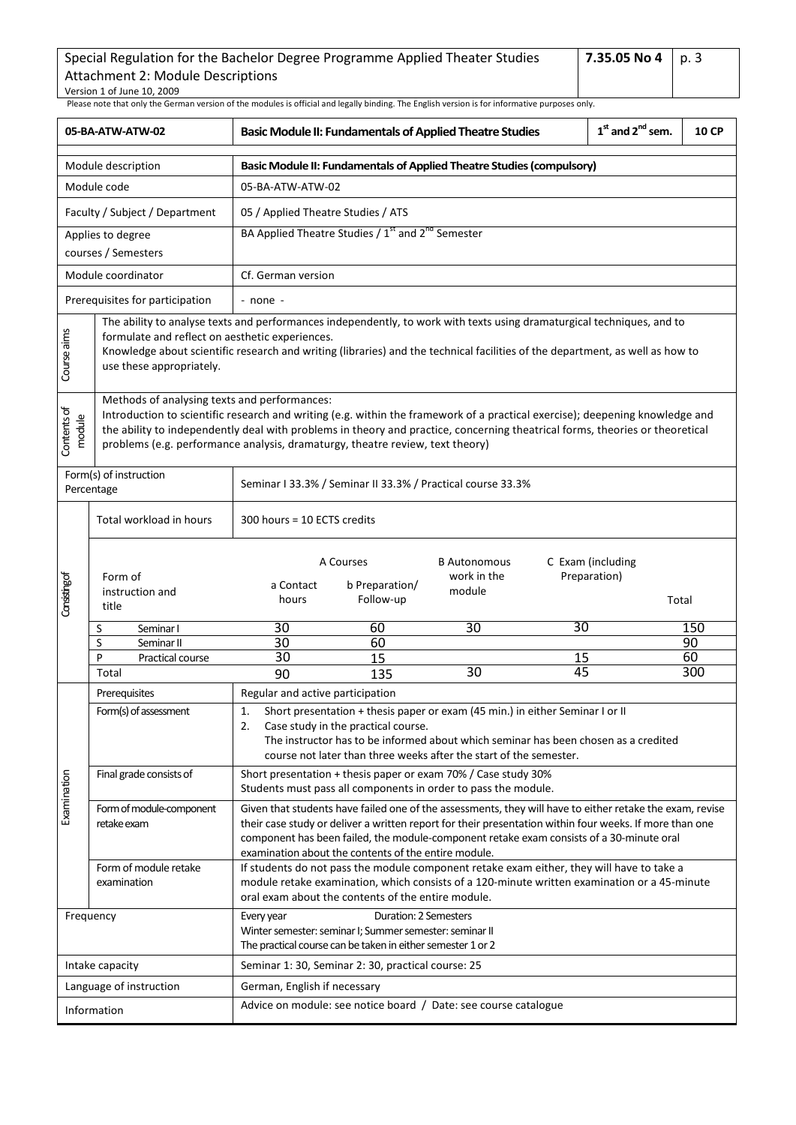| Special Regulation for the Bachelor Degree Programme Applied Theater Studies | 7.35.05 No 4   p. 3 |  |
|------------------------------------------------------------------------------|---------------------|--|
| Attachment 2: Module Descriptions                                            |                     |  |
| Version 1 of June 10, 2009                                                   |                     |  |

<span id="page-2-0"></span>

| 05-BA-ATW-ATW-02                                                                                                                                                                                                                                                                                                                                      |                                                                                                                                                                                                                                                                                                                                                                                               | <b>Basic Module II: Fundamentals of Applied Theatre Studies</b>           |                                                                                                                                                 |                                                                                                                                                                                                                                                                                                                 | $1st$ and $2nd$ sem. | <b>10 CP</b>                               |          |  |
|-------------------------------------------------------------------------------------------------------------------------------------------------------------------------------------------------------------------------------------------------------------------------------------------------------------------------------------------------------|-----------------------------------------------------------------------------------------------------------------------------------------------------------------------------------------------------------------------------------------------------------------------------------------------------------------------------------------------------------------------------------------------|---------------------------------------------------------------------------|-------------------------------------------------------------------------------------------------------------------------------------------------|-----------------------------------------------------------------------------------------------------------------------------------------------------------------------------------------------------------------------------------------------------------------------------------------------------------------|----------------------|--------------------------------------------|----------|--|
|                                                                                                                                                                                                                                                                                                                                                       | Module description                                                                                                                                                                                                                                                                                                                                                                            | Basic Module II: Fundamentals of Applied Theatre Studies (compulsory)     |                                                                                                                                                 |                                                                                                                                                                                                                                                                                                                 |                      |                                            |          |  |
|                                                                                                                                                                                                                                                                                                                                                       | Module code                                                                                                                                                                                                                                                                                                                                                                                   | 05-BA-ATW-ATW-02                                                          |                                                                                                                                                 |                                                                                                                                                                                                                                                                                                                 |                      |                                            |          |  |
|                                                                                                                                                                                                                                                                                                                                                       | Faculty / Subject / Department                                                                                                                                                                                                                                                                                                                                                                |                                                                           | 05 / Applied Theatre Studies / ATS                                                                                                              |                                                                                                                                                                                                                                                                                                                 |                      |                                            |          |  |
|                                                                                                                                                                                                                                                                                                                                                       | Applies to degree<br>courses / Semesters                                                                                                                                                                                                                                                                                                                                                      | BA Applied Theatre Studies / 1 <sup>st</sup> and 2 <sup>nd</sup> Semester |                                                                                                                                                 |                                                                                                                                                                                                                                                                                                                 |                      |                                            |          |  |
|                                                                                                                                                                                                                                                                                                                                                       | Module coordinator                                                                                                                                                                                                                                                                                                                                                                            | Cf. German version                                                        |                                                                                                                                                 |                                                                                                                                                                                                                                                                                                                 |                      |                                            |          |  |
|                                                                                                                                                                                                                                                                                                                                                       | Prerequisites for participation                                                                                                                                                                                                                                                                                                                                                               | - none -                                                                  |                                                                                                                                                 |                                                                                                                                                                                                                                                                                                                 |                      |                                            |          |  |
| The ability to analyse texts and performances independently, to work with texts using dramaturgical techniques, and to<br>Course aims<br>formulate and reflect on aesthetic experiences.<br>Knowledge about scientific research and writing (libraries) and the technical facilities of the department, as well as how to<br>use these appropriately. |                                                                                                                                                                                                                                                                                                                                                                                               |                                                                           |                                                                                                                                                 |                                                                                                                                                                                                                                                                                                                 |                      |                                            |          |  |
| Contents of<br>module                                                                                                                                                                                                                                                                                                                                 | Methods of analysing texts and performances:<br>Introduction to scientific research and writing (e.g. within the framework of a practical exercise); deepening knowledge and<br>the ability to independently deal with problems in theory and practice, concerning theatrical forms, theories or theoretical<br>problems (e.g. performance analysis, dramaturgy, theatre review, text theory) |                                                                           |                                                                                                                                                 |                                                                                                                                                                                                                                                                                                                 |                      |                                            |          |  |
|                                                                                                                                                                                                                                                                                                                                                       | Form(s) of instruction<br>Percentage                                                                                                                                                                                                                                                                                                                                                          |                                                                           |                                                                                                                                                 | Seminar I 33.3% / Seminar II 33.3% / Practical course 33.3%                                                                                                                                                                                                                                                     |                      |                                            |          |  |
|                                                                                                                                                                                                                                                                                                                                                       | Total workload in hours                                                                                                                                                                                                                                                                                                                                                                       | 300 hours = 10 ECTS credits                                               |                                                                                                                                                 |                                                                                                                                                                                                                                                                                                                 |                      |                                            |          |  |
| Consisting of                                                                                                                                                                                                                                                                                                                                         | Form of<br>instruction and<br>title                                                                                                                                                                                                                                                                                                                                                           | a Contact<br>hours                                                        | A Courses<br>b Preparation/<br>Follow-up                                                                                                        | <b>B</b> Autonomous<br>work in the<br>module                                                                                                                                                                                                                                                                    |                      | C Exam (including<br>Preparation)<br>Total |          |  |
|                                                                                                                                                                                                                                                                                                                                                       | S<br>Seminar I                                                                                                                                                                                                                                                                                                                                                                                | 30                                                                        | 60                                                                                                                                              | 30                                                                                                                                                                                                                                                                                                              | 30                   |                                            | 150      |  |
|                                                                                                                                                                                                                                                                                                                                                       | S<br>Seminar II<br>P<br>Practical course                                                                                                                                                                                                                                                                                                                                                      | 30<br>30                                                                  | 60<br>15                                                                                                                                        |                                                                                                                                                                                                                                                                                                                 | 15                   |                                            | 90<br>60 |  |
|                                                                                                                                                                                                                                                                                                                                                       | Total                                                                                                                                                                                                                                                                                                                                                                                         | 90                                                                        | 135                                                                                                                                             | 30                                                                                                                                                                                                                                                                                                              | 45                   |                                            | 300      |  |
|                                                                                                                                                                                                                                                                                                                                                       | Prerequisites                                                                                                                                                                                                                                                                                                                                                                                 | Regular and active participation                                          |                                                                                                                                                 |                                                                                                                                                                                                                                                                                                                 |                      |                                            |          |  |
|                                                                                                                                                                                                                                                                                                                                                       | Form(s) of assessment                                                                                                                                                                                                                                                                                                                                                                         | $\mathbf{1}$<br>2.                                                        | Case study in the practical course.                                                                                                             | Short presentation + thesis paper or exam (45 min.) in either Seminar I or II<br>The instructor has to be informed about which seminar has been chosen as a credited<br>course not later than three weeks after the start of the semester.                                                                      |                      |                                            |          |  |
|                                                                                                                                                                                                                                                                                                                                                       | Final grade consists of                                                                                                                                                                                                                                                                                                                                                                       |                                                                           |                                                                                                                                                 | Short presentation + thesis paper or exam 70% / Case study 30%<br>Students must pass all components in order to pass the module.                                                                                                                                                                                |                      |                                            |          |  |
| Examination                                                                                                                                                                                                                                                                                                                                           | Form of module-component<br>retake exam                                                                                                                                                                                                                                                                                                                                                       |                                                                           | examination about the contents of the entire module.                                                                                            | Given that students have failed one of the assessments, they will have to either retake the exam, revise<br>their case study or deliver a written report for their presentation within four weeks. If more than one<br>component has been failed, the module-component retake exam consists of a 30-minute oral |                      |                                            |          |  |
|                                                                                                                                                                                                                                                                                                                                                       | Form of module retake<br>examination                                                                                                                                                                                                                                                                                                                                                          |                                                                           | oral exam about the contents of the entire module.                                                                                              | If students do not pass the module component retake exam either, they will have to take a<br>module retake examination, which consists of a 120-minute written examination or a 45-minute                                                                                                                       |                      |                                            |          |  |
|                                                                                                                                                                                                                                                                                                                                                       | Frequency                                                                                                                                                                                                                                                                                                                                                                                     | Every year                                                                | Duration: 2 Semesters<br>Winter semester: seminar I; Summer semester: seminar II<br>The practical course can be taken in either semester 1 or 2 |                                                                                                                                                                                                                                                                                                                 |                      |                                            |          |  |
|                                                                                                                                                                                                                                                                                                                                                       | Intake capacity                                                                                                                                                                                                                                                                                                                                                                               |                                                                           | Seminar 1: 30, Seminar 2: 30, practical course: 25                                                                                              |                                                                                                                                                                                                                                                                                                                 |                      |                                            |          |  |
|                                                                                                                                                                                                                                                                                                                                                       | Language of instruction                                                                                                                                                                                                                                                                                                                                                                       | German, English if necessary                                              |                                                                                                                                                 |                                                                                                                                                                                                                                                                                                                 |                      |                                            |          |  |
|                                                                                                                                                                                                                                                                                                                                                       | Information                                                                                                                                                                                                                                                                                                                                                                                   | Advice on module: see notice board / Date: see course catalogue           |                                                                                                                                                 |                                                                                                                                                                                                                                                                                                                 |                      |                                            |          |  |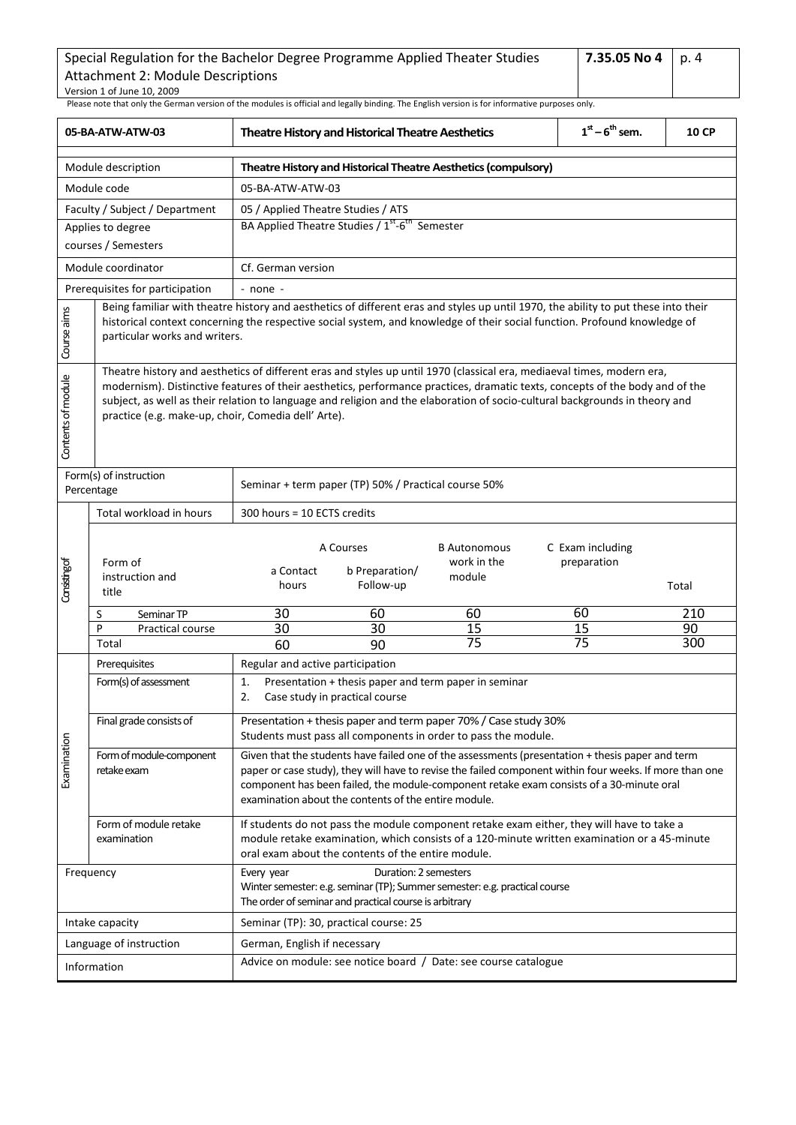<span id="page-3-0"></span>

| 05-BA-ATW-ATW-03   |                                                                                                                                                                                                                                                                                                                                                                                                                                              |                                                                 | <b>Theatre History and Historical Theatre Aesthetics</b>                        | $1st - 6th$ sem.                                                                                                                                                                                                                                                                                        | <b>10 CP</b>                    |       |  |  |  |
|--------------------|----------------------------------------------------------------------------------------------------------------------------------------------------------------------------------------------------------------------------------------------------------------------------------------------------------------------------------------------------------------------------------------------------------------------------------------------|-----------------------------------------------------------------|---------------------------------------------------------------------------------|---------------------------------------------------------------------------------------------------------------------------------------------------------------------------------------------------------------------------------------------------------------------------------------------------------|---------------------------------|-------|--|--|--|
|                    | Module description                                                                                                                                                                                                                                                                                                                                                                                                                           |                                                                 | Theatre History and Historical Theatre Aesthetics (compulsory)                  |                                                                                                                                                                                                                                                                                                         |                                 |       |  |  |  |
|                    | Module code                                                                                                                                                                                                                                                                                                                                                                                                                                  | 05-BA-ATW-ATW-03                                                |                                                                                 |                                                                                                                                                                                                                                                                                                         |                                 |       |  |  |  |
|                    | Faculty / Subject / Department                                                                                                                                                                                                                                                                                                                                                                                                               | 05 / Applied Theatre Studies / ATS                              |                                                                                 |                                                                                                                                                                                                                                                                                                         |                                 |       |  |  |  |
|                    | Applies to degree                                                                                                                                                                                                                                                                                                                                                                                                                            |                                                                 | BA Applied Theatre Studies / 1st-6th Semester                                   |                                                                                                                                                                                                                                                                                                         |                                 |       |  |  |  |
|                    | courses / Semesters                                                                                                                                                                                                                                                                                                                                                                                                                          |                                                                 |                                                                                 |                                                                                                                                                                                                                                                                                                         |                                 |       |  |  |  |
|                    | Module coordinator                                                                                                                                                                                                                                                                                                                                                                                                                           |                                                                 | Cf. German version                                                              |                                                                                                                                                                                                                                                                                                         |                                 |       |  |  |  |
|                    | Prerequisites for participation                                                                                                                                                                                                                                                                                                                                                                                                              | - none -                                                        |                                                                                 |                                                                                                                                                                                                                                                                                                         |                                 |       |  |  |  |
| Course aims        | Being familiar with theatre history and aesthetics of different eras and styles up until 1970, the ability to put these into their<br>historical context concerning the respective social system, and knowledge of their social function. Profound knowledge of<br>particular works and writers.                                                                                                                                             |                                                                 |                                                                                 |                                                                                                                                                                                                                                                                                                         |                                 |       |  |  |  |
| Contents of module | Theatre history and aesthetics of different eras and styles up until 1970 (classical era, mediaeval times, modern era,<br>modernism). Distinctive features of their aesthetics, performance practices, dramatic texts, concepts of the body and of the<br>subject, as well as their relation to language and religion and the elaboration of socio-cultural backgrounds in theory and<br>practice (e.g. make-up, choir, Comedia dell' Arte). |                                                                 |                                                                                 |                                                                                                                                                                                                                                                                                                         |                                 |       |  |  |  |
|                    | Form(s) of instruction<br>Percentage                                                                                                                                                                                                                                                                                                                                                                                                         |                                                                 | Seminar + term paper (TP) 50% / Practical course 50%                            |                                                                                                                                                                                                                                                                                                         |                                 |       |  |  |  |
|                    | Total workload in hours                                                                                                                                                                                                                                                                                                                                                                                                                      | 300 hours = 10 ECTS credits                                     |                                                                                 |                                                                                                                                                                                                                                                                                                         |                                 |       |  |  |  |
| Considing of       | Form of<br>instruction and<br>title                                                                                                                                                                                                                                                                                                                                                                                                          | a Contact<br>hours                                              | A Courses<br>b Preparation/<br>Follow-up                                        | <b>B</b> Autonomous<br>work in the<br>module                                                                                                                                                                                                                                                            | C Exam including<br>preparation | Total |  |  |  |
|                    | S<br>Seminar TP                                                                                                                                                                                                                                                                                                                                                                                                                              | 30                                                              | 60                                                                              | 60                                                                                                                                                                                                                                                                                                      | 60                              | 210   |  |  |  |
|                    | P<br>Practical course                                                                                                                                                                                                                                                                                                                                                                                                                        | 30                                                              | 30                                                                              | 15                                                                                                                                                                                                                                                                                                      | 15                              | 90    |  |  |  |
|                    | Total                                                                                                                                                                                                                                                                                                                                                                                                                                        | 60                                                              | 90                                                                              | $\overline{75}$                                                                                                                                                                                                                                                                                         | $\overline{75}$                 | 300   |  |  |  |
|                    | Prerequisites                                                                                                                                                                                                                                                                                                                                                                                                                                | Regular and active participation                                |                                                                                 |                                                                                                                                                                                                                                                                                                         |                                 |       |  |  |  |
|                    | Form(s) of assessment                                                                                                                                                                                                                                                                                                                                                                                                                        | 1.<br>2.                                                        | Case study in practical course                                                  | Presentation + thesis paper and term paper in seminar                                                                                                                                                                                                                                                   |                                 |       |  |  |  |
|                    | Final grade consists of                                                                                                                                                                                                                                                                                                                                                                                                                      |                                                                 |                                                                                 | Presentation + thesis paper and term paper 70% / Case study 30%<br>Students must pass all components in order to pass the module.                                                                                                                                                                       |                                 |       |  |  |  |
| Examination        | Form of module-component<br>retake exam                                                                                                                                                                                                                                                                                                                                                                                                      |                                                                 | examination about the contents of the entire module.                            | Given that the students have failed one of the assessments (presentation + thesis paper and term<br>paper or case study), they will have to revise the failed component within four weeks. If more than one<br>component has been failed, the module-component retake exam consists of a 30-minute oral |                                 |       |  |  |  |
|                    | Form of module retake<br>examination                                                                                                                                                                                                                                                                                                                                                                                                         |                                                                 | oral exam about the contents of the entire module.                              | If students do not pass the module component retake exam either, they will have to take a<br>module retake examination, which consists of a 120-minute written examination or a 45-minute                                                                                                               |                                 |       |  |  |  |
|                    | Frequency                                                                                                                                                                                                                                                                                                                                                                                                                                    | Every year                                                      | Duration: 2 semesters<br>The order of seminar and practical course is arbitrary | Winter semester: e.g. seminar (TP); Summer semester: e.g. practical course                                                                                                                                                                                                                              |                                 |       |  |  |  |
|                    | Intake capacity                                                                                                                                                                                                                                                                                                                                                                                                                              |                                                                 | Seminar (TP): 30, practical course: 25                                          |                                                                                                                                                                                                                                                                                                         |                                 |       |  |  |  |
|                    | Language of instruction                                                                                                                                                                                                                                                                                                                                                                                                                      | German, English if necessary                                    |                                                                                 |                                                                                                                                                                                                                                                                                                         |                                 |       |  |  |  |
|                    | Information                                                                                                                                                                                                                                                                                                                                                                                                                                  | Advice on module: see notice board / Date: see course catalogue |                                                                                 |                                                                                                                                                                                                                                                                                                         |                                 |       |  |  |  |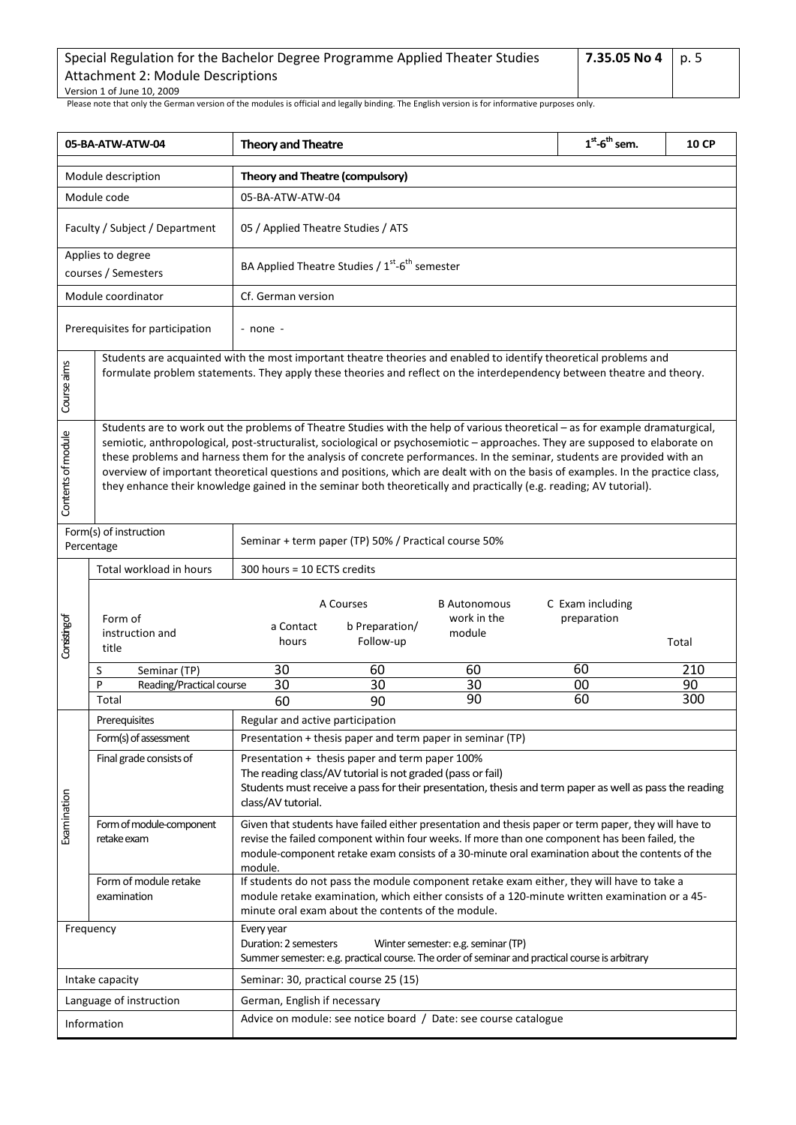| Special Regulation for the Bachelor Degree Programme Applied Theater Studies | 7.35.05 No 4 p. 5 |  |
|------------------------------------------------------------------------------|-------------------|--|
| Attachment 2: Module Descriptions                                            |                   |  |
| Version 1 of June 10, 2009                                                   |                   |  |

<span id="page-4-0"></span>

| 05-BA-ATW-ATW-04   |                                                                                                                                                                                                                                             | <b>Theory and Theatre</b>                                                                                                                                                                                                                                                                                                                                                                                                                                                                                                                                                                                                                            |                                                                                                               |                                                                                                                                                                                                                                                                                                            | $1st$ -6 <sup>th</sup> sem.     | <b>10 CP</b> |  |
|--------------------|---------------------------------------------------------------------------------------------------------------------------------------------------------------------------------------------------------------------------------------------|------------------------------------------------------------------------------------------------------------------------------------------------------------------------------------------------------------------------------------------------------------------------------------------------------------------------------------------------------------------------------------------------------------------------------------------------------------------------------------------------------------------------------------------------------------------------------------------------------------------------------------------------------|---------------------------------------------------------------------------------------------------------------|------------------------------------------------------------------------------------------------------------------------------------------------------------------------------------------------------------------------------------------------------------------------------------------------------------|---------------------------------|--------------|--|
|                    | Module description                                                                                                                                                                                                                          | Theory and Theatre (compulsory)                                                                                                                                                                                                                                                                                                                                                                                                                                                                                                                                                                                                                      |                                                                                                               |                                                                                                                                                                                                                                                                                                            |                                 |              |  |
|                    | Module code                                                                                                                                                                                                                                 | 05-BA-ATW-ATW-04                                                                                                                                                                                                                                                                                                                                                                                                                                                                                                                                                                                                                                     |                                                                                                               |                                                                                                                                                                                                                                                                                                            |                                 |              |  |
|                    | Faculty / Subject / Department                                                                                                                                                                                                              | 05 / Applied Theatre Studies / ATS                                                                                                                                                                                                                                                                                                                                                                                                                                                                                                                                                                                                                   |                                                                                                               |                                                                                                                                                                                                                                                                                                            |                                 |              |  |
|                    | Applies to degree<br>courses / Semesters                                                                                                                                                                                                    |                                                                                                                                                                                                                                                                                                                                                                                                                                                                                                                                                                                                                                                      | BA Applied Theatre Studies / 1 <sup>st</sup> -6 <sup>th</sup> semester                                        |                                                                                                                                                                                                                                                                                                            |                                 |              |  |
|                    | Module coordinator                                                                                                                                                                                                                          | Cf. German version                                                                                                                                                                                                                                                                                                                                                                                                                                                                                                                                                                                                                                   |                                                                                                               |                                                                                                                                                                                                                                                                                                            |                                 |              |  |
|                    | Prerequisites for participation                                                                                                                                                                                                             | - none -                                                                                                                                                                                                                                                                                                                                                                                                                                                                                                                                                                                                                                             |                                                                                                               |                                                                                                                                                                                                                                                                                                            |                                 |              |  |
| Course aims        | Students are acquainted with the most important theatre theories and enabled to identify theoretical problems and<br>formulate problem statements. They apply these theories and reflect on the interdependency between theatre and theory. |                                                                                                                                                                                                                                                                                                                                                                                                                                                                                                                                                                                                                                                      |                                                                                                               |                                                                                                                                                                                                                                                                                                            |                                 |              |  |
| Contents of module |                                                                                                                                                                                                                                             | Students are to work out the problems of Theatre Studies with the help of various theoretical - as for example dramaturgical,<br>semiotic, anthropological, post-structuralist, sociological or psychosemiotic - approaches. They are supposed to elaborate on<br>these problems and harness them for the analysis of concrete performances. In the seminar, students are provided with an<br>overview of important theoretical questions and positions, which are dealt with on the basis of examples. In the practice class,<br>they enhance their knowledge gained in the seminar both theoretically and practically (e.g. reading; AV tutorial). |                                                                                                               |                                                                                                                                                                                                                                                                                                            |                                 |              |  |
|                    | Form(s) of instruction<br>Percentage                                                                                                                                                                                                        |                                                                                                                                                                                                                                                                                                                                                                                                                                                                                                                                                                                                                                                      | Seminar + term paper (TP) 50% / Practical course 50%                                                          |                                                                                                                                                                                                                                                                                                            |                                 |              |  |
|                    | Total workload in hours                                                                                                                                                                                                                     | 300 hours = 10 ECTS credits                                                                                                                                                                                                                                                                                                                                                                                                                                                                                                                                                                                                                          |                                                                                                               |                                                                                                                                                                                                                                                                                                            |                                 |              |  |
| Considing of       | Form of<br>instruction and<br>title                                                                                                                                                                                                         | a Contact<br>hours                                                                                                                                                                                                                                                                                                                                                                                                                                                                                                                                                                                                                                   | A Courses<br>b Preparation/<br>Follow-up                                                                      | <b>B</b> Autonomous<br>work in the<br>module                                                                                                                                                                                                                                                               | C Exam including<br>preparation | Total        |  |
|                    | Seminar (TP)<br>S<br>P                                                                                                                                                                                                                      | 30                                                                                                                                                                                                                                                                                                                                                                                                                                                                                                                                                                                                                                                   | 60                                                                                                            | 60                                                                                                                                                                                                                                                                                                         | 60                              | 210<br>90    |  |
|                    | Reading/Practical course<br>Total                                                                                                                                                                                                           | 30<br>60                                                                                                                                                                                                                                                                                                                                                                                                                                                                                                                                                                                                                                             | 30<br>90                                                                                                      | 30<br>90                                                                                                                                                                                                                                                                                                   | 00<br>60                        | 300          |  |
|                    | Prerequisites                                                                                                                                                                                                                               | Regular and active participation                                                                                                                                                                                                                                                                                                                                                                                                                                                                                                                                                                                                                     |                                                                                                               |                                                                                                                                                                                                                                                                                                            |                                 |              |  |
|                    | Form(s) of assessment                                                                                                                                                                                                                       |                                                                                                                                                                                                                                                                                                                                                                                                                                                                                                                                                                                                                                                      | Presentation + thesis paper and term paper in seminar (TP)                                                    |                                                                                                                                                                                                                                                                                                            |                                 |              |  |
|                    | Final grade consists of                                                                                                                                                                                                                     | class/AV tutorial.                                                                                                                                                                                                                                                                                                                                                                                                                                                                                                                                                                                                                                   | Presentation + thesis paper and term paper 100%<br>The reading class/AV tutorial is not graded (pass or fail) | Students must receive a pass for their presentation, thesis and term paper as well as pass the reading                                                                                                                                                                                                     |                                 |              |  |
| Examination        | Form of module-component<br>retake exam                                                                                                                                                                                                     | module.                                                                                                                                                                                                                                                                                                                                                                                                                                                                                                                                                                                                                                              |                                                                                                               | Given that students have failed either presentation and thesis paper or term paper, they will have to<br>revise the failed component within four weeks. If more than one component has been failed, the<br>module-component retake exam consists of a 30-minute oral examination about the contents of the |                                 |              |  |
|                    | Form of module retake<br>examination                                                                                                                                                                                                        |                                                                                                                                                                                                                                                                                                                                                                                                                                                                                                                                                                                                                                                      | minute oral exam about the contents of the module.                                                            | If students do not pass the module component retake exam either, they will have to take a<br>module retake examination, which either consists of a 120-minute written examination or a 45-                                                                                                                 |                                 |              |  |
|                    | Frequency                                                                                                                                                                                                                                   | Every year<br>Duration: 2 semesters                                                                                                                                                                                                                                                                                                                                                                                                                                                                                                                                                                                                                  |                                                                                                               | Winter semester: e.g. seminar (TP)<br>Summer semester: e.g. practical course. The order of seminar and practical course is arbitrary                                                                                                                                                                       |                                 |              |  |
|                    | Intake capacity                                                                                                                                                                                                                             |                                                                                                                                                                                                                                                                                                                                                                                                                                                                                                                                                                                                                                                      | Seminar: 30, practical course 25 (15)                                                                         |                                                                                                                                                                                                                                                                                                            |                                 |              |  |
|                    | Language of instruction                                                                                                                                                                                                                     | German, English if necessary                                                                                                                                                                                                                                                                                                                                                                                                                                                                                                                                                                                                                         |                                                                                                               |                                                                                                                                                                                                                                                                                                            |                                 |              |  |
|                    | Information                                                                                                                                                                                                                                 | Advice on module: see notice board / Date: see course catalogue                                                                                                                                                                                                                                                                                                                                                                                                                                                                                                                                                                                      |                                                                                                               |                                                                                                                                                                                                                                                                                                            |                                 |              |  |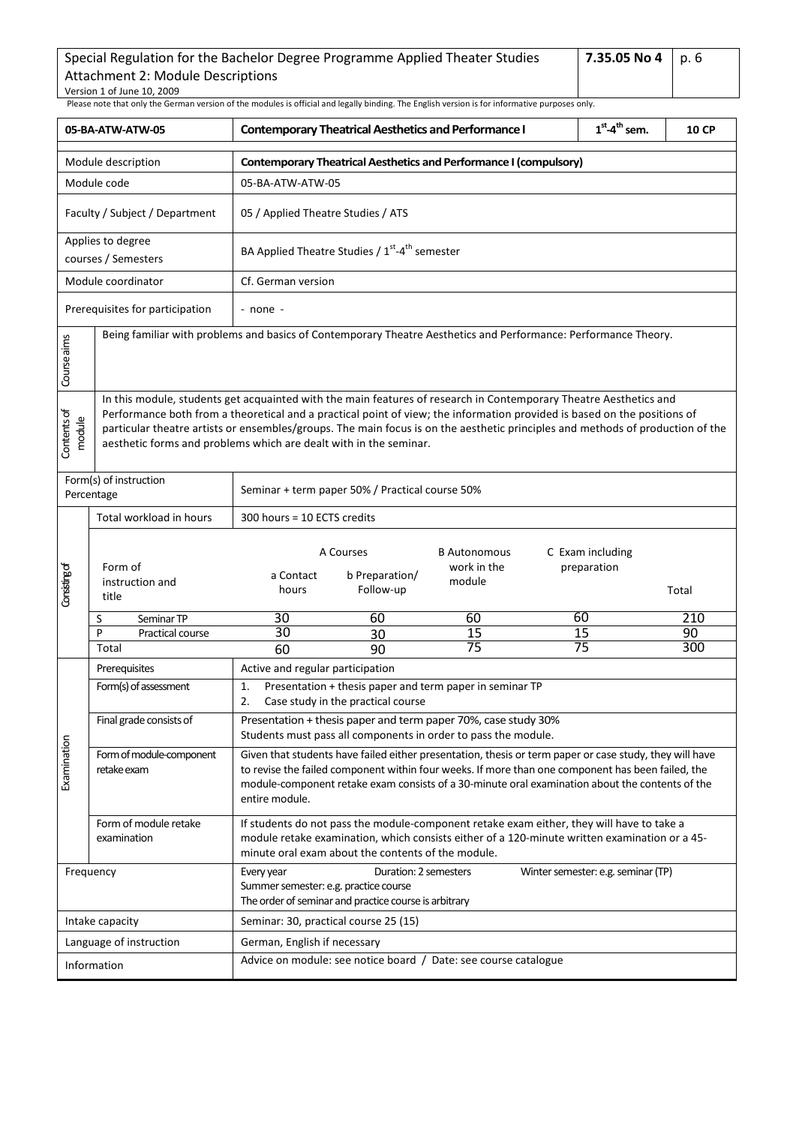| Special Regulation for the Bachelor Degree Programme Applied Theater Studies | 7.35.05 No 4   p. 6 |  |
|------------------------------------------------------------------------------|---------------------|--|
| Attachment 2: Module Descriptions                                            |                     |  |
| Version 1 of June 10, 2009                                                   |                     |  |

<span id="page-5-0"></span>

| 05-BA-ATW-ATW-05                                                                        |                                          | $1st$ -4 <sup>th</sup> sem.<br><b>Contemporary Theatrical Aesthetics and Performance I</b><br>10 CP                                                                                                                                                                                                                                                                                                                                                  |                                                                                                                                                                                                                                                                                                                 |                                                                                                                                  |                                    |       |  |  |
|-----------------------------------------------------------------------------------------|------------------------------------------|------------------------------------------------------------------------------------------------------------------------------------------------------------------------------------------------------------------------------------------------------------------------------------------------------------------------------------------------------------------------------------------------------------------------------------------------------|-----------------------------------------------------------------------------------------------------------------------------------------------------------------------------------------------------------------------------------------------------------------------------------------------------------------|----------------------------------------------------------------------------------------------------------------------------------|------------------------------------|-------|--|--|
|                                                                                         | Module description                       |                                                                                                                                                                                                                                                                                                                                                                                                                                                      | <b>Contemporary Theatrical Aesthetics and Performance I (compulsory)</b>                                                                                                                                                                                                                                        |                                                                                                                                  |                                    |       |  |  |
|                                                                                         | Module code                              |                                                                                                                                                                                                                                                                                                                                                                                                                                                      | 05-BA-ATW-ATW-05                                                                                                                                                                                                                                                                                                |                                                                                                                                  |                                    |       |  |  |
|                                                                                         | Faculty / Subject / Department           | 05 / Applied Theatre Studies / ATS                                                                                                                                                                                                                                                                                                                                                                                                                   |                                                                                                                                                                                                                                                                                                                 |                                                                                                                                  |                                    |       |  |  |
|                                                                                         | Applies to degree<br>courses / Semesters |                                                                                                                                                                                                                                                                                                                                                                                                                                                      | BA Applied Theatre Studies / 1st-4 <sup>th</sup> semester                                                                                                                                                                                                                                                       |                                                                                                                                  |                                    |       |  |  |
|                                                                                         | Module coordinator                       | Cf. German version                                                                                                                                                                                                                                                                                                                                                                                                                                   |                                                                                                                                                                                                                                                                                                                 |                                                                                                                                  |                                    |       |  |  |
|                                                                                         | Prerequisites for participation          | - none -                                                                                                                                                                                                                                                                                                                                                                                                                                             |                                                                                                                                                                                                                                                                                                                 |                                                                                                                                  |                                    |       |  |  |
| Course aims                                                                             |                                          |                                                                                                                                                                                                                                                                                                                                                                                                                                                      |                                                                                                                                                                                                                                                                                                                 | Being familiar with problems and basics of Contemporary Theatre Aesthetics and Performance: Performance Theory.                  |                                    |       |  |  |
| Contents of<br>module                                                                   |                                          | In this module, students get acquainted with the main features of research in Contemporary Theatre Aesthetics and<br>Performance both from a theoretical and a practical point of view; the information provided is based on the positions of<br>particular theatre artists or ensembles/groups. The main focus is on the aesthetic principles and methods of production of the<br>aesthetic forms and problems which are dealt with in the seminar. |                                                                                                                                                                                                                                                                                                                 |                                                                                                                                  |                                    |       |  |  |
| Form(s) of instruction<br>Seminar + term paper 50% / Practical course 50%<br>Percentage |                                          |                                                                                                                                                                                                                                                                                                                                                                                                                                                      |                                                                                                                                                                                                                                                                                                                 |                                                                                                                                  |                                    |       |  |  |
|                                                                                         | Total workload in hours                  |                                                                                                                                                                                                                                                                                                                                                                                                                                                      | 300 hours = 10 ECTS credits                                                                                                                                                                                                                                                                                     |                                                                                                                                  |                                    |       |  |  |
| Consisting of                                                                           | Form of<br>instruction and<br>title      | a Contact<br>hours                                                                                                                                                                                                                                                                                                                                                                                                                                   | A Courses<br>b Preparation/<br>Follow-up                                                                                                                                                                                                                                                                        | <b>B</b> Autonomous<br>work in the<br>module                                                                                     | C Exam including<br>preparation    | Total |  |  |
|                                                                                         | Seminar TP<br>S                          | 30                                                                                                                                                                                                                                                                                                                                                                                                                                                   | 60                                                                                                                                                                                                                                                                                                              | 60                                                                                                                               | 60                                 | 210   |  |  |
|                                                                                         | P<br>Practical course                    | 30                                                                                                                                                                                                                                                                                                                                                                                                                                                   | 30                                                                                                                                                                                                                                                                                                              | 15                                                                                                                               | 15                                 | 90    |  |  |
|                                                                                         | Total                                    | 60                                                                                                                                                                                                                                                                                                                                                                                                                                                   | 90                                                                                                                                                                                                                                                                                                              | 75                                                                                                                               | 75                                 | 300   |  |  |
|                                                                                         | Prerequisites                            | Active and regular participation                                                                                                                                                                                                                                                                                                                                                                                                                     |                                                                                                                                                                                                                                                                                                                 |                                                                                                                                  |                                    |       |  |  |
|                                                                                         | Form(s) of assessment                    | 1.<br>2.                                                                                                                                                                                                                                                                                                                                                                                                                                             | Case study in the practical course                                                                                                                                                                                                                                                                              | Presentation + thesis paper and term paper in seminar TP                                                                         |                                    |       |  |  |
|                                                                                         | Final grade consists of                  |                                                                                                                                                                                                                                                                                                                                                                                                                                                      |                                                                                                                                                                                                                                                                                                                 | Presentation + thesis paper and term paper 70%, case study 30%<br>Students must pass all components in order to pass the module. |                                    |       |  |  |
| Examination                                                                             | Form of module-component<br>retake exam  | entire module.                                                                                                                                                                                                                                                                                                                                                                                                                                       | Given that students have failed either presentation, thesis or term paper or case study, they will have<br>to revise the failed component within four weeks. If more than one component has been failed, the<br>module-component retake exam consists of a 30-minute oral examination about the contents of the |                                                                                                                                  |                                    |       |  |  |
|                                                                                         | Form of module retake<br>examination     |                                                                                                                                                                                                                                                                                                                                                                                                                                                      | If students do not pass the module-component retake exam either, they will have to take a<br>module retake examination, which consists either of a 120-minute written examination or a 45-<br>minute oral exam about the contents of the module.                                                                |                                                                                                                                  |                                    |       |  |  |
|                                                                                         | Frequency                                | Every year<br>Summer semester: e.g. practice course                                                                                                                                                                                                                                                                                                                                                                                                  | Duration: 2 semesters<br>The order of seminar and practice course is arbitrary                                                                                                                                                                                                                                  |                                                                                                                                  | Winter semester: e.g. seminar (TP) |       |  |  |
|                                                                                         | Intake capacity                          |                                                                                                                                                                                                                                                                                                                                                                                                                                                      | Seminar: 30, practical course 25 (15)                                                                                                                                                                                                                                                                           |                                                                                                                                  |                                    |       |  |  |
|                                                                                         | Language of instruction                  | German, English if necessary                                                                                                                                                                                                                                                                                                                                                                                                                         |                                                                                                                                                                                                                                                                                                                 |                                                                                                                                  |                                    |       |  |  |
|                                                                                         | Information                              |                                                                                                                                                                                                                                                                                                                                                                                                                                                      |                                                                                                                                                                                                                                                                                                                 | Advice on module: see notice board / Date: see course catalogue                                                                  |                                    |       |  |  |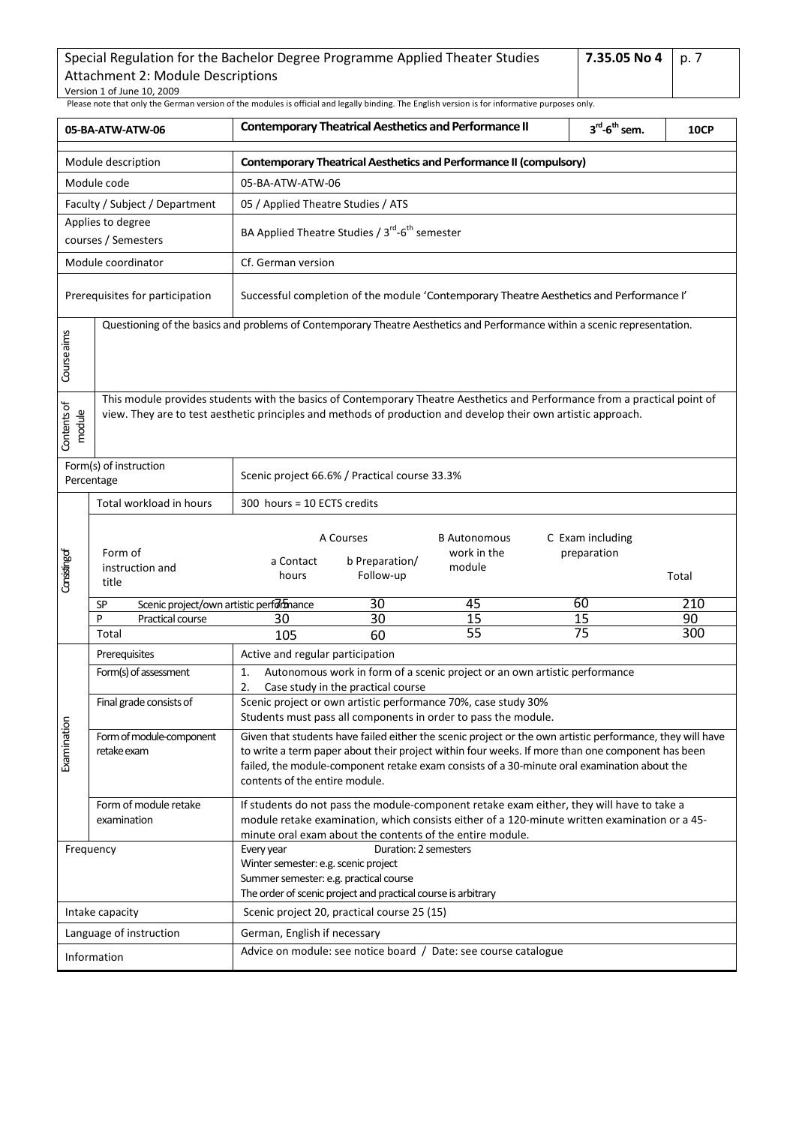| Special Regulation for the Bachelor Degree Programme Applied Theater Studies | 7.35.05 No 4   p. 7 |  |
|------------------------------------------------------------------------------|---------------------|--|
| Attachment 2: Module Descriptions                                            |                     |  |
| Version 1 of June 10, 2009                                                   |                     |  |

<span id="page-6-0"></span>

|                       | 05-BA-ATW-ATW-06                                                                                                                                                                                                                             | <b>Contemporary Theatrical Aesthetics and Performance II</b>                                                                                                                           |                                                                        |                                                                                                                                                                                                                                                                                                              | $3^{\text{rd}}$ -6 <sup>th</sup> sem. | <b>10CP</b>                     |           |
|-----------------------|----------------------------------------------------------------------------------------------------------------------------------------------------------------------------------------------------------------------------------------------|----------------------------------------------------------------------------------------------------------------------------------------------------------------------------------------|------------------------------------------------------------------------|--------------------------------------------------------------------------------------------------------------------------------------------------------------------------------------------------------------------------------------------------------------------------------------------------------------|---------------------------------------|---------------------------------|-----------|
|                       | Module description                                                                                                                                                                                                                           | <b>Contemporary Theatrical Aesthetics and Performance II (compulsory)</b>                                                                                                              |                                                                        |                                                                                                                                                                                                                                                                                                              |                                       |                                 |           |
|                       | Module code                                                                                                                                                                                                                                  | 05-BA-ATW-ATW-06                                                                                                                                                                       |                                                                        |                                                                                                                                                                                                                                                                                                              |                                       |                                 |           |
|                       | Faculty / Subject / Department                                                                                                                                                                                                               | 05 / Applied Theatre Studies / ATS                                                                                                                                                     |                                                                        |                                                                                                                                                                                                                                                                                                              |                                       |                                 |           |
|                       | Applies to degree<br>courses / Semesters                                                                                                                                                                                                     |                                                                                                                                                                                        | BA Applied Theatre Studies / 3 <sup>rd</sup> -6 <sup>th</sup> semester |                                                                                                                                                                                                                                                                                                              |                                       |                                 |           |
|                       | Module coordinator                                                                                                                                                                                                                           | Cf. German version                                                                                                                                                                     |                                                                        |                                                                                                                                                                                                                                                                                                              |                                       |                                 |           |
|                       | Prerequisites for participation                                                                                                                                                                                                              |                                                                                                                                                                                        |                                                                        | Successful completion of the module 'Contemporary Theatre Aesthetics and Performance I'                                                                                                                                                                                                                      |                                       |                                 |           |
| Course aims           | Questioning of the basics and problems of Contemporary Theatre Aesthetics and Performance within a scenic representation.                                                                                                                    |                                                                                                                                                                                        |                                                                        |                                                                                                                                                                                                                                                                                                              |                                       |                                 |           |
| Contents of<br>module | This module provides students with the basics of Contemporary Theatre Aesthetics and Performance from a practical point of<br>view. They are to test aesthetic principles and methods of production and develop their own artistic approach. |                                                                                                                                                                                        |                                                                        |                                                                                                                                                                                                                                                                                                              |                                       |                                 |           |
|                       | Form(s) of instruction<br>Percentage                                                                                                                                                                                                         |                                                                                                                                                                                        | Scenic project 66.6% / Practical course 33.3%                          |                                                                                                                                                                                                                                                                                                              |                                       |                                 |           |
|                       | Total workload in hours                                                                                                                                                                                                                      | 300 hours = 10 ECTS credits                                                                                                                                                            |                                                                        |                                                                                                                                                                                                                                                                                                              |                                       |                                 |           |
| Considing of          | Form of<br>instruction and<br>title                                                                                                                                                                                                          | a Contact<br>hours                                                                                                                                                                     | A Courses<br>b Preparation/<br>Follow-up                               | <b>B</b> Autonomous<br>work in the<br>module                                                                                                                                                                                                                                                                 |                                       | C Exam including<br>preparation | Total     |
|                       | Scenic project/own artistic performance<br>SP                                                                                                                                                                                                |                                                                                                                                                                                        | 30                                                                     | 45                                                                                                                                                                                                                                                                                                           |                                       | 60                              | 210       |
|                       | P<br>Practical course<br>Total                                                                                                                                                                                                               | 30<br>105                                                                                                                                                                              | 30<br>60                                                               | 15<br>55                                                                                                                                                                                                                                                                                                     |                                       | 15<br>75                        | 90<br>300 |
|                       | Prerequisites                                                                                                                                                                                                                                | Active and regular participation                                                                                                                                                       |                                                                        |                                                                                                                                                                                                                                                                                                              |                                       |                                 |           |
|                       | Form(s) of assessment                                                                                                                                                                                                                        | 1.<br>2.                                                                                                                                                                               | Case study in the practical course                                     | Autonomous work in form of a scenic project or an own artistic performance                                                                                                                                                                                                                                   |                                       |                                 |           |
|                       | Final grade consists of                                                                                                                                                                                                                      |                                                                                                                                                                                        |                                                                        | Scenic project or own artistic performance 70%, case study 30%<br>Students must pass all components in order to pass the module.                                                                                                                                                                             |                                       |                                 |           |
| Examination           | Form of module-component<br>retake exam                                                                                                                                                                                                      | contents of the entire module.                                                                                                                                                         |                                                                        | Given that students have failed either the scenic project or the own artistic performance, they will have<br>to write a term paper about their project within four weeks. If more than one component has been<br>failed, the module-component retake exam consists of a 30-minute oral examination about the |                                       |                                 |           |
|                       | Form of module retake<br>examination                                                                                                                                                                                                         |                                                                                                                                                                                        |                                                                        | If students do not pass the module-component retake exam either, they will have to take a<br>module retake examination, which consists either of a 120-minute written examination or a 45-<br>minute oral exam about the contents of the entire module.                                                      |                                       |                                 |           |
|                       | Frequency                                                                                                                                                                                                                                    | Duration: 2 semesters<br>Every year<br>Winter semester: e.g. scenic project<br>Summer semester: e.g. practical course<br>The order of scenic project and practical course is arbitrary |                                                                        |                                                                                                                                                                                                                                                                                                              |                                       |                                 |           |
|                       | Intake capacity                                                                                                                                                                                                                              |                                                                                                                                                                                        | Scenic project 20, practical course 25 (15)                            |                                                                                                                                                                                                                                                                                                              |                                       |                                 |           |
|                       | Language of instruction                                                                                                                                                                                                                      | German, English if necessary                                                                                                                                                           |                                                                        |                                                                                                                                                                                                                                                                                                              |                                       |                                 |           |
|                       | Information                                                                                                                                                                                                                                  |                                                                                                                                                                                        |                                                                        | Advice on module: see notice board / Date: see course catalogue                                                                                                                                                                                                                                              |                                       |                                 |           |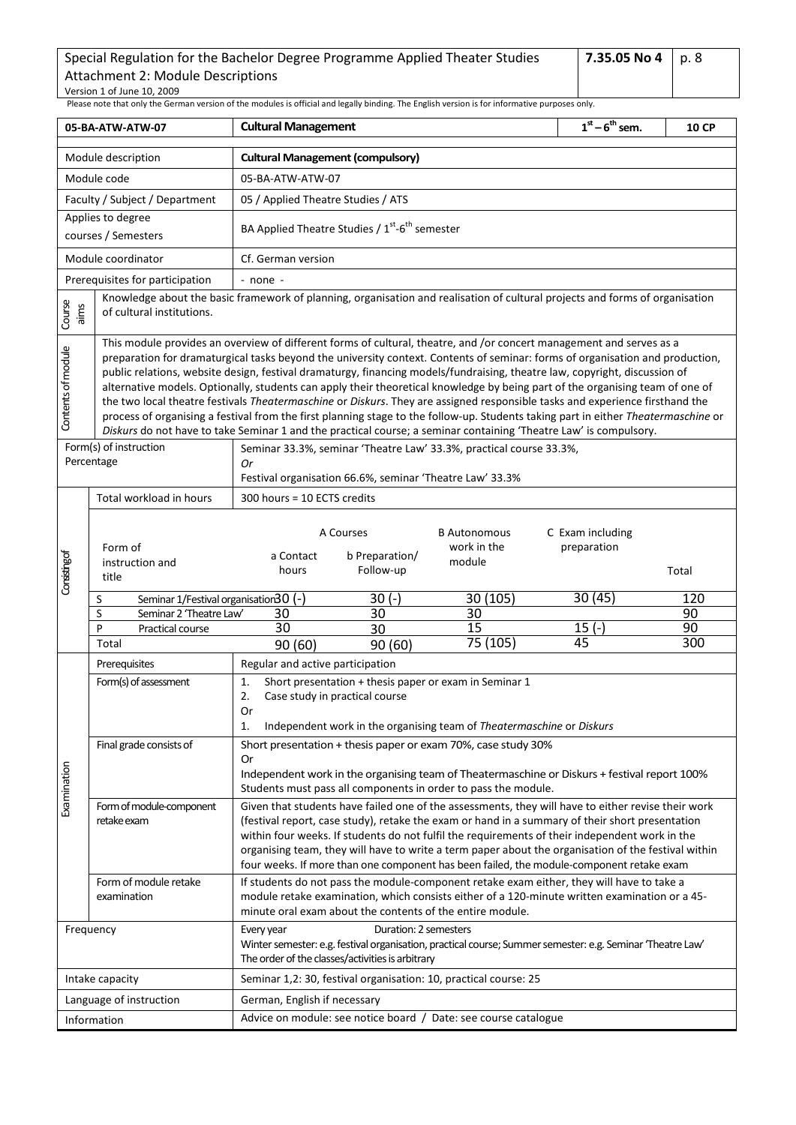**7.35.05 No 4** p. 8

<span id="page-7-0"></span>

| 05-BA-ATW-ATW-07   |                                                                                                                                                                                                                                                                                                                                                                                                                                                                                                                                                                                                                                                                                                                                                                                                                                                                                                                 | <b>Cultural Management</b>                                                                                                                                                                                                                              | $1st - 6th$ sem.                                                                                                                                                                                                                                                                                                                                                                                                                                                                 | <b>10 CP</b> |  |  |  |  |
|--------------------|-----------------------------------------------------------------------------------------------------------------------------------------------------------------------------------------------------------------------------------------------------------------------------------------------------------------------------------------------------------------------------------------------------------------------------------------------------------------------------------------------------------------------------------------------------------------------------------------------------------------------------------------------------------------------------------------------------------------------------------------------------------------------------------------------------------------------------------------------------------------------------------------------------------------|---------------------------------------------------------------------------------------------------------------------------------------------------------------------------------------------------------------------------------------------------------|----------------------------------------------------------------------------------------------------------------------------------------------------------------------------------------------------------------------------------------------------------------------------------------------------------------------------------------------------------------------------------------------------------------------------------------------------------------------------------|--------------|--|--|--|--|
|                    | Module description                                                                                                                                                                                                                                                                                                                                                                                                                                                                                                                                                                                                                                                                                                                                                                                                                                                                                              | <b>Cultural Management (compulsory)</b>                                                                                                                                                                                                                 |                                                                                                                                                                                                                                                                                                                                                                                                                                                                                  |              |  |  |  |  |
|                    | Module code                                                                                                                                                                                                                                                                                                                                                                                                                                                                                                                                                                                                                                                                                                                                                                                                                                                                                                     | 05-BA-ATW-ATW-07                                                                                                                                                                                                                                        |                                                                                                                                                                                                                                                                                                                                                                                                                                                                                  |              |  |  |  |  |
|                    | Faculty / Subject / Department                                                                                                                                                                                                                                                                                                                                                                                                                                                                                                                                                                                                                                                                                                                                                                                                                                                                                  | 05 / Applied Theatre Studies / ATS                                                                                                                                                                                                                      |                                                                                                                                                                                                                                                                                                                                                                                                                                                                                  |              |  |  |  |  |
|                    | Applies to degree                                                                                                                                                                                                                                                                                                                                                                                                                                                                                                                                                                                                                                                                                                                                                                                                                                                                                               | BA Applied Theatre Studies / 1 <sup>st</sup> -6 <sup>th</sup> semester                                                                                                                                                                                  |                                                                                                                                                                                                                                                                                                                                                                                                                                                                                  |              |  |  |  |  |
|                    | courses / Semesters                                                                                                                                                                                                                                                                                                                                                                                                                                                                                                                                                                                                                                                                                                                                                                                                                                                                                             |                                                                                                                                                                                                                                                         |                                                                                                                                                                                                                                                                                                                                                                                                                                                                                  |              |  |  |  |  |
|                    | Module coordinator                                                                                                                                                                                                                                                                                                                                                                                                                                                                                                                                                                                                                                                                                                                                                                                                                                                                                              | Cf. German version                                                                                                                                                                                                                                      |                                                                                                                                                                                                                                                                                                                                                                                                                                                                                  |              |  |  |  |  |
|                    | Prerequisites for participation                                                                                                                                                                                                                                                                                                                                                                                                                                                                                                                                                                                                                                                                                                                                                                                                                                                                                 | $-$ none $-$<br>Knowledge about the basic framework of planning, organisation and realisation of cultural projects and forms of organisation                                                                                                            |                                                                                                                                                                                                                                                                                                                                                                                                                                                                                  |              |  |  |  |  |
| Course<br>aims     | of cultural institutions.                                                                                                                                                                                                                                                                                                                                                                                                                                                                                                                                                                                                                                                                                                                                                                                                                                                                                       |                                                                                                                                                                                                                                                         |                                                                                                                                                                                                                                                                                                                                                                                                                                                                                  |              |  |  |  |  |
| Contents of module | This module provides an overview of different forms of cultural, theatre, and /or concert management and serves as a<br>preparation for dramaturgical tasks beyond the university context. Contents of seminar: forms of organisation and production,<br>public relations, website design, festival dramaturgy, financing models/fundraising, theatre law, copyright, discussion of<br>alternative models. Optionally, students can apply their theoretical knowledge by being part of the organising team of one of<br>the two local theatre festivals Theatermaschine or Diskurs. They are assigned responsible tasks and experience firsthand the<br>process of organising a festival from the first planning stage to the follow-up. Students taking part in either Theatermaschine or<br>Diskurs do not have to take Seminar 1 and the practical course; a seminar containing 'Theatre Law' is compulsory. |                                                                                                                                                                                                                                                         |                                                                                                                                                                                                                                                                                                                                                                                                                                                                                  |              |  |  |  |  |
|                    | Form(s) of instruction<br>Seminar 33.3%, seminar 'Theatre Law' 33.3%, practical course 33.3%,<br>Percentage<br>Or<br>Festival organisation 66.6%, seminar 'Theatre Law' 33.3%                                                                                                                                                                                                                                                                                                                                                                                                                                                                                                                                                                                                                                                                                                                                   |                                                                                                                                                                                                                                                         |                                                                                                                                                                                                                                                                                                                                                                                                                                                                                  |              |  |  |  |  |
|                    | Total workload in hours                                                                                                                                                                                                                                                                                                                                                                                                                                                                                                                                                                                                                                                                                                                                                                                                                                                                                         | 300 hours = 10 ECTS credits                                                                                                                                                                                                                             |                                                                                                                                                                                                                                                                                                                                                                                                                                                                                  |              |  |  |  |  |
| Considing of       | Form of<br>instruction and<br>title                                                                                                                                                                                                                                                                                                                                                                                                                                                                                                                                                                                                                                                                                                                                                                                                                                                                             | A Courses<br><b>B</b> Autonomous<br>work in the<br>b Preparation/<br>a Contact<br>module<br>Follow-up<br>hours                                                                                                                                          | C Exam including<br>preparation                                                                                                                                                                                                                                                                                                                                                                                                                                                  | Total        |  |  |  |  |
|                    | Seminar 1/Festival organisation30 (-)<br>S                                                                                                                                                                                                                                                                                                                                                                                                                                                                                                                                                                                                                                                                                                                                                                                                                                                                      | 30 (105)<br>$30(-)$                                                                                                                                                                                                                                     | 30(45)                                                                                                                                                                                                                                                                                                                                                                                                                                                                           | 120          |  |  |  |  |
|                    | S<br>Seminar 2 'Theatre Law'<br>P<br>Practical course                                                                                                                                                                                                                                                                                                                                                                                                                                                                                                                                                                                                                                                                                                                                                                                                                                                           | 30<br>30<br>30<br>30<br>15<br>30                                                                                                                                                                                                                        | $15(-)$                                                                                                                                                                                                                                                                                                                                                                                                                                                                          | 90<br>90     |  |  |  |  |
|                    | Total                                                                                                                                                                                                                                                                                                                                                                                                                                                                                                                                                                                                                                                                                                                                                                                                                                                                                                           | 75 (105)<br>90(60)<br>90(60)                                                                                                                                                                                                                            | 45                                                                                                                                                                                                                                                                                                                                                                                                                                                                               | 300          |  |  |  |  |
|                    | Prerequisites                                                                                                                                                                                                                                                                                                                                                                                                                                                                                                                                                                                                                                                                                                                                                                                                                                                                                                   | Regular and active participation                                                                                                                                                                                                                        |                                                                                                                                                                                                                                                                                                                                                                                                                                                                                  |              |  |  |  |  |
|                    | Form(s) of assessment                                                                                                                                                                                                                                                                                                                                                                                                                                                                                                                                                                                                                                                                                                                                                                                                                                                                                           | Short presentation + thesis paper or exam in Seminar 1<br>1.<br>Case study in practical course<br>2.<br>Or<br>Independent work in the organising team of Theatermaschine or Diskurs<br>1.                                                               |                                                                                                                                                                                                                                                                                                                                                                                                                                                                                  |              |  |  |  |  |
| Examination        | Final grade consists of                                                                                                                                                                                                                                                                                                                                                                                                                                                                                                                                                                                                                                                                                                                                                                                                                                                                                         | Short presentation + thesis paper or exam 70%, case study 30%<br>Or<br>Independent work in the organising team of Theatermaschine or Diskurs + festival report 100%                                                                                     |                                                                                                                                                                                                                                                                                                                                                                                                                                                                                  |              |  |  |  |  |
|                    | Form of module-component<br>retake exam                                                                                                                                                                                                                                                                                                                                                                                                                                                                                                                                                                                                                                                                                                                                                                                                                                                                         | four weeks. If more than one component has been failed, the module-component retake exam                                                                                                                                                                | Students must pass all components in order to pass the module.<br>Given that students have failed one of the assessments, they will have to either revise their work<br>(festival report, case study), retake the exam or hand in a summary of their short presentation<br>within four weeks. If students do not fulfil the requirements of their independent work in the<br>organising team, they will have to write a term paper about the organisation of the festival within |              |  |  |  |  |
|                    | Form of module retake<br>examination                                                                                                                                                                                                                                                                                                                                                                                                                                                                                                                                                                                                                                                                                                                                                                                                                                                                            | If students do not pass the module-component retake exam either, they will have to take a<br>module retake examination, which consists either of a 120-minute written examination or a 45-<br>minute oral exam about the contents of the entire module. |                                                                                                                                                                                                                                                                                                                                                                                                                                                                                  |              |  |  |  |  |
|                    | Frequency                                                                                                                                                                                                                                                                                                                                                                                                                                                                                                                                                                                                                                                                                                                                                                                                                                                                                                       | Duration: 2 semesters<br>Every year<br>Winter semester: e.g. festival organisation, practical course; Summer semester: e.g. Seminar 'Theatre Law'<br>The order of the classes/activities is arbitrary                                                   |                                                                                                                                                                                                                                                                                                                                                                                                                                                                                  |              |  |  |  |  |
|                    | Intake capacity                                                                                                                                                                                                                                                                                                                                                                                                                                                                                                                                                                                                                                                                                                                                                                                                                                                                                                 | Seminar 1,2: 30, festival organisation: 10, practical course: 25                                                                                                                                                                                        |                                                                                                                                                                                                                                                                                                                                                                                                                                                                                  |              |  |  |  |  |
|                    | Language of instruction                                                                                                                                                                                                                                                                                                                                                                                                                                                                                                                                                                                                                                                                                                                                                                                                                                                                                         | German, English if necessary                                                                                                                                                                                                                            |                                                                                                                                                                                                                                                                                                                                                                                                                                                                                  |              |  |  |  |  |
|                    | Information                                                                                                                                                                                                                                                                                                                                                                                                                                                                                                                                                                                                                                                                                                                                                                                                                                                                                                     | Advice on module: see notice board / Date: see course catalogue                                                                                                                                                                                         |                                                                                                                                                                                                                                                                                                                                                                                                                                                                                  |              |  |  |  |  |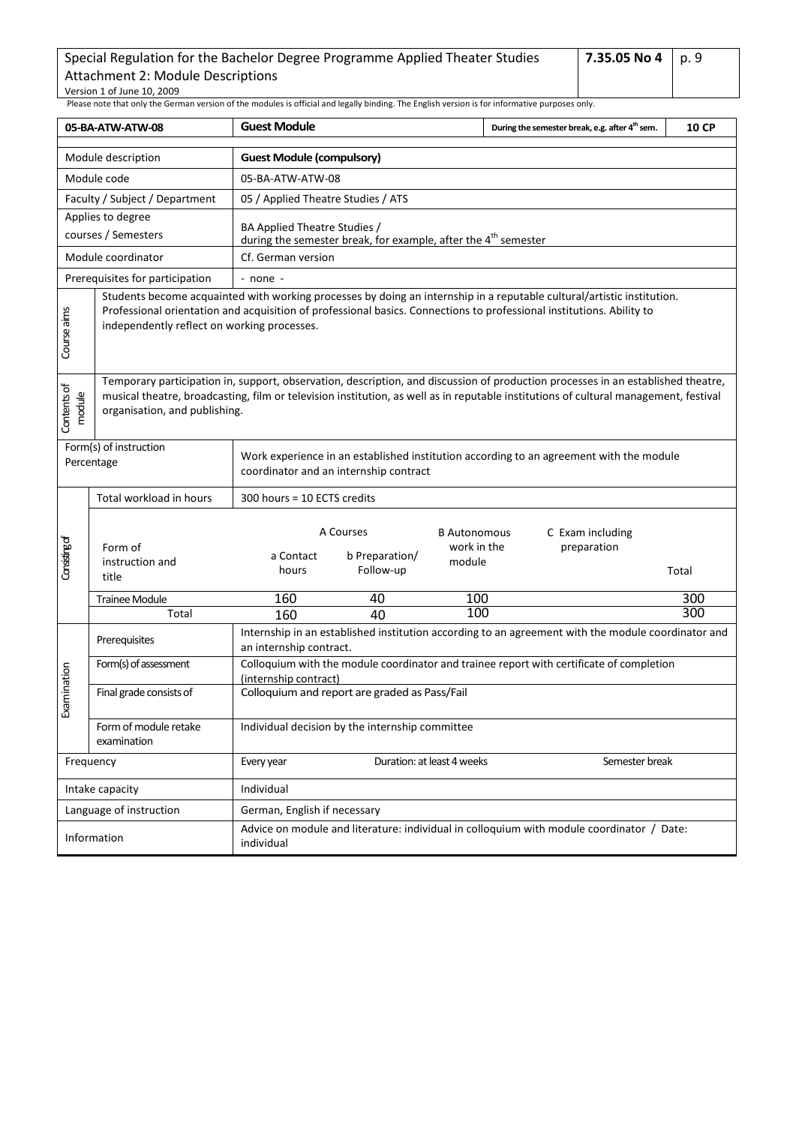| Special Regulation for the Bachelor Degree Programme Applied Theater Studies | 7.35.05 No 4   p. 9 |  |
|------------------------------------------------------------------------------|---------------------|--|
| Attachment 2: Module Descriptions                                            |                     |  |
| Version 1 of June 10, 2009                                                   |                     |  |

<span id="page-8-0"></span>

| 05-BA-ATW-ATW-08                                                                                                                                                                                                                                                                                                                   |                                      | <b>Guest Module</b>                                                                                                               |                                                                            |                                              | During the semester break, e.g. after 4 <sup>th</sup> sem.                                         | <b>10 CP</b> |  |
|------------------------------------------------------------------------------------------------------------------------------------------------------------------------------------------------------------------------------------------------------------------------------------------------------------------------------------|--------------------------------------|-----------------------------------------------------------------------------------------------------------------------------------|----------------------------------------------------------------------------|----------------------------------------------|----------------------------------------------------------------------------------------------------|--------------|--|
|                                                                                                                                                                                                                                                                                                                                    | Module description                   | <b>Guest Module (compulsory)</b>                                                                                                  |                                                                            |                                              |                                                                                                    |              |  |
|                                                                                                                                                                                                                                                                                                                                    | Module code                          | 05-BA-ATW-ATW-08                                                                                                                  |                                                                            |                                              |                                                                                                    |              |  |
| Faculty / Subject / Department                                                                                                                                                                                                                                                                                                     |                                      | 05 / Applied Theatre Studies / ATS                                                                                                |                                                                            |                                              |                                                                                                    |              |  |
|                                                                                                                                                                                                                                                                                                                                    | Applies to degree                    |                                                                                                                                   |                                                                            |                                              |                                                                                                    |              |  |
|                                                                                                                                                                                                                                                                                                                                    | courses / Semesters                  | BA Applied Theatre Studies /                                                                                                      | during the semester break, for example, after the 4 <sup>th</sup> semester |                                              |                                                                                                    |              |  |
|                                                                                                                                                                                                                                                                                                                                    | Module coordinator                   | Cf. German version                                                                                                                |                                                                            |                                              |                                                                                                    |              |  |
|                                                                                                                                                                                                                                                                                                                                    | Prerequisites for participation      | - none -                                                                                                                          |                                                                            |                                              |                                                                                                    |              |  |
| Students become acquainted with working processes by doing an internship in a reputable cultural/artistic institution.<br>Course aims<br>Professional orientation and acquisition of professional basics. Connections to professional institutions. Ability to<br>independently reflect on working processes.                      |                                      |                                                                                                                                   |                                                                            |                                              |                                                                                                    |              |  |
| Temporary participation in, support, observation, description, and discussion of production processes in an established theatre,<br>Contents of<br>musical theatre, broadcasting, film or television institution, as well as in reputable institutions of cultural management, festival<br>module<br>organisation, and publishing. |                                      |                                                                                                                                   |                                                                            |                                              |                                                                                                    |              |  |
| Form(s) of instruction<br>Percentage                                                                                                                                                                                                                                                                                               |                                      | Work experience in an established institution according to an agreement with the module<br>coordinator and an internship contract |                                                                            |                                              |                                                                                                    |              |  |
|                                                                                                                                                                                                                                                                                                                                    | Total workload in hours              | 300 hours = 10 ECTS credits                                                                                                       |                                                                            |                                              |                                                                                                    |              |  |
| Considing of                                                                                                                                                                                                                                                                                                                       | Form of<br>instruction and<br>title  | a Contact<br>hours                                                                                                                | A Courses<br>b Preparation/<br>Follow-up                                   | <b>B</b> Autonomous<br>work in the<br>module | C Exam including<br>preparation                                                                    | Total        |  |
|                                                                                                                                                                                                                                                                                                                                    | Trainee Module                       | 160                                                                                                                               | 40                                                                         | 100                                          |                                                                                                    | 300          |  |
|                                                                                                                                                                                                                                                                                                                                    | Total                                | 160                                                                                                                               | 40                                                                         | 100                                          |                                                                                                    | 300          |  |
|                                                                                                                                                                                                                                                                                                                                    | Prerequisites                        | an internship contract.                                                                                                           |                                                                            |                                              | Internship in an established institution according to an agreement with the module coordinator and |              |  |
|                                                                                                                                                                                                                                                                                                                                    | Form(s) of assessment                |                                                                                                                                   |                                                                            |                                              | Colloquium with the module coordinator and trainee report with certificate of completion           |              |  |
| Examination                                                                                                                                                                                                                                                                                                                        | Final grade consists of              | (internship contract)                                                                                                             | Colloquium and report are graded as Pass/Fail                              |                                              |                                                                                                    |              |  |
|                                                                                                                                                                                                                                                                                                                                    | Form of module retake<br>examination |                                                                                                                                   | Individual decision by the internship committee                            |                                              |                                                                                                    |              |  |
| Frequency                                                                                                                                                                                                                                                                                                                          |                                      | Every year                                                                                                                        |                                                                            | Duration: at least 4 weeks                   | Semester break                                                                                     |              |  |
|                                                                                                                                                                                                                                                                                                                                    | Intake capacity                      | Individual                                                                                                                        |                                                                            |                                              |                                                                                                    |              |  |
|                                                                                                                                                                                                                                                                                                                                    | Language of instruction              | German, English if necessary                                                                                                      |                                                                            |                                              |                                                                                                    |              |  |
|                                                                                                                                                                                                                                                                                                                                    | Information                          | Advice on module and literature: individual in colloquium with module coordinator / Date:<br>individual                           |                                                                            |                                              |                                                                                                    |              |  |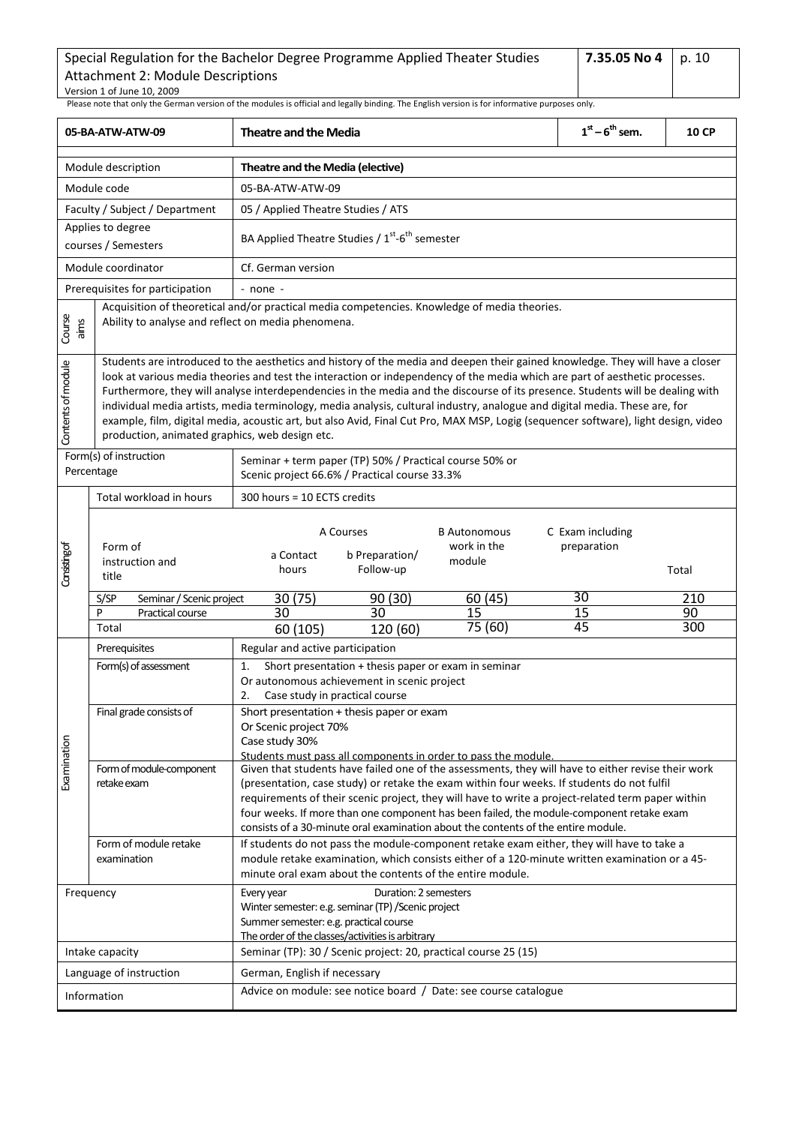<span id="page-9-0"></span>Please note that only the German version of the modules is official and legally binding. The English version is for informative purposes only. **05-BA-ATW-ATW-09 Theatre and the Media 1 st – 6 th sem. 10 CP** Module description **Theatre and the Media (elective)** Module code  $\overline{05-BA-AT}$ W-ATW-09 Faculty / Subject / Department | 05 / Applied Theatre Studies / ATS Applies to degree courses / Semesters **BA Applied Theatre Studies / 1<sup>st</sup>-6<sup>th</sup> semester** Module coordinator **Cf.** German version Prerequisites for participation  $\vert$  - none -Acquisition of theoretical and/or practical media competencies. Knowledge of media theories. Course aims Ability to analyse and reflect on media phenomena. Students are introduced to the aesthetics and history of the media and deepen their gained knowledge. They will have a closer Contents of module Contents of module look at various media theories and test the interaction or independency of the media which are part of aesthetic processes. Furthermore, they will analyse interdependencies in the media and the discourse of its presence. Students will be dealing with individual media artists, media terminology, media analysis, cultural industry, analogue and digital media. These are, for example, film, digital media, acoustic art, but also Avid, Final Cut Pro, MAX MSP, Logig (sequencer software), light design, video production, animated graphics, web design etc. Form(s) of instruction Seminar + term paper (TP) 50% / Practical course 50% or Percentage Scenic project 66.6% / Practical course 33.3% Total workload in hours  $\begin{vmatrix} 300 \text{ hours} = 10 \text{ ECTS} \end{vmatrix}$ A Courses B Autonomous C Exam including Form of work in the preparation Considing of a Contact b Preparation/ module instruction and Follow-up hours Total title30 (75) 30 S/SP Seminar / Scenic project 90 (30) 60 (45) 210 30 15 15 90 P Practical course 30 Total 75 (60) 45 300 60 (105) 120 (60) Prerequisites Regular and active participation Form(s) of assessment  $\vert 1.$  Short presentation + thesis paper or exam in seminar Or autonomous achievement in scenic project 2. Case study in practical course Final grade consists of  $\vert$  Short presentation + thesis paper or exam Or Scenic project 70% Examination Case study 30% **Examination** Students must pass all components in order to pass the module. Form of module-component Given that students have failed one of the assessments, they will have to either revise their work retake exam (presentation, case study) or retake the exam within four weeks. If students do not fulfil requirements of their scenic project, they will have to write a project-related term paper within four weeks. If more than one component has been failed, the module-component retake exam consists of a 30-minute oral examination about the contents of the entire module. Form of module retake If students do not pass the module-component retake exam either, they will have to take a examination module retake examination, which consists either of a 120-minute written examination or a 45 minute oral exam about the contents of the entire module. Frequency **Every year** Every year **Duration: 2 semesters** Winter semester: e.g. seminar(TP)/Scenic project Summer semester: e.g. practical course The order of the classes/activities is arbitr Intake capacity Seminar (TP): 30 / Scenic project: 20, practical course 25 (15) Language of instruction **German**, English if necessary Information **Advice on module: see notice board** / Date: see course catalogue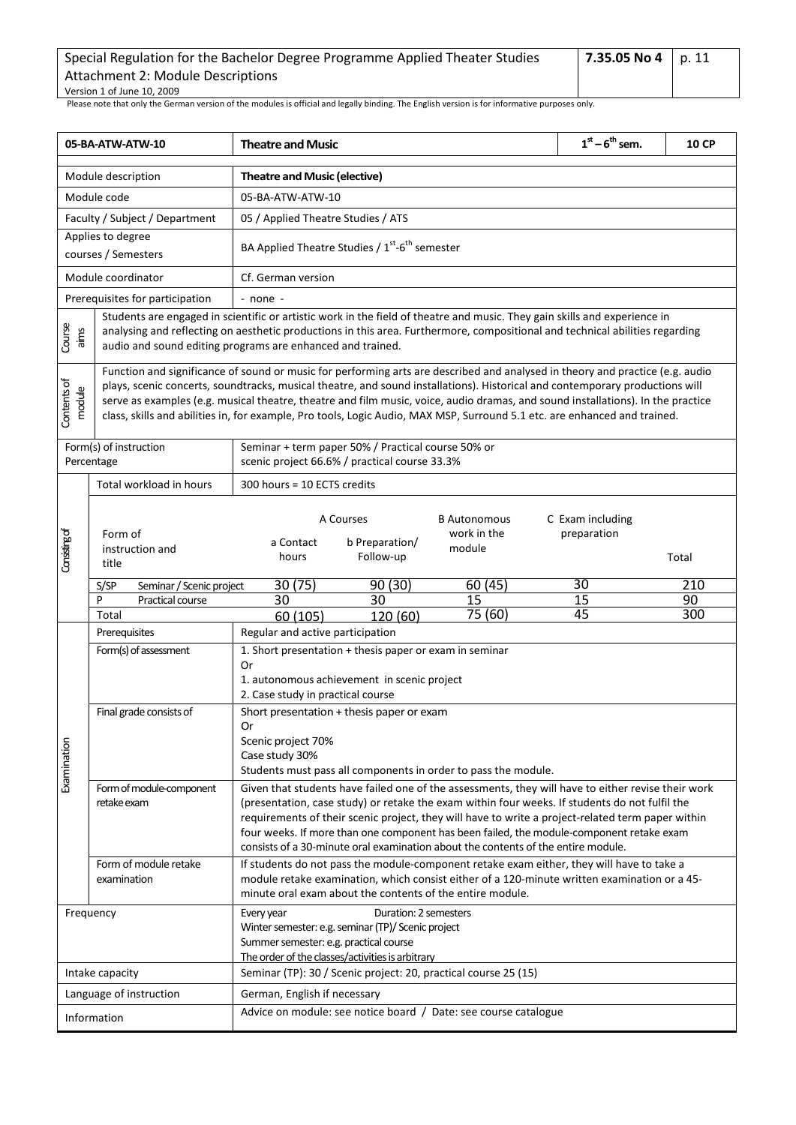| Special Regulation for the Bachelor Degree Programme Applied Theater Studies | 7.35.05 No 4   p. 11 |  |
|------------------------------------------------------------------------------|----------------------|--|
| Attachment 2: Module Descriptions                                            |                      |  |
| Version 1 of June 10, 2009                                                   |                      |  |

<span id="page-10-0"></span>

| 05-BA-ATW-ATW-10      |                                                                                                                                                                                                                                                                                                                                                                                                                                                                                                                               | <b>Theatre and Music</b>                                                                                                                                                                                                                                                                                                                                                                                                                                                                   | $1st - 6th$ sem.                | <b>10 CP</b> |  |  |  |  |
|-----------------------|-------------------------------------------------------------------------------------------------------------------------------------------------------------------------------------------------------------------------------------------------------------------------------------------------------------------------------------------------------------------------------------------------------------------------------------------------------------------------------------------------------------------------------|--------------------------------------------------------------------------------------------------------------------------------------------------------------------------------------------------------------------------------------------------------------------------------------------------------------------------------------------------------------------------------------------------------------------------------------------------------------------------------------------|---------------------------------|--------------|--|--|--|--|
|                       | Module description                                                                                                                                                                                                                                                                                                                                                                                                                                                                                                            | <b>Theatre and Music (elective)</b>                                                                                                                                                                                                                                                                                                                                                                                                                                                        |                                 |              |  |  |  |  |
|                       | Module code                                                                                                                                                                                                                                                                                                                                                                                                                                                                                                                   | 05-BA-ATW-ATW-10                                                                                                                                                                                                                                                                                                                                                                                                                                                                           |                                 |              |  |  |  |  |
|                       | Faculty / Subject / Department                                                                                                                                                                                                                                                                                                                                                                                                                                                                                                | 05 / Applied Theatre Studies / ATS                                                                                                                                                                                                                                                                                                                                                                                                                                                         |                                 |              |  |  |  |  |
|                       | Applies to degree<br>courses / Semesters                                                                                                                                                                                                                                                                                                                                                                                                                                                                                      | BA Applied Theatre Studies / 1st-6 <sup>th</sup> semester                                                                                                                                                                                                                                                                                                                                                                                                                                  |                                 |              |  |  |  |  |
|                       | Module coordinator                                                                                                                                                                                                                                                                                                                                                                                                                                                                                                            | Cf. German version                                                                                                                                                                                                                                                                                                                                                                                                                                                                         |                                 |              |  |  |  |  |
|                       | Prerequisites for participation                                                                                                                                                                                                                                                                                                                                                                                                                                                                                               | $-$ none $-$                                                                                                                                                                                                                                                                                                                                                                                                                                                                               |                                 |              |  |  |  |  |
| Course<br>aims        |                                                                                                                                                                                                                                                                                                                                                                                                                                                                                                                               | Students are engaged in scientific or artistic work in the field of theatre and music. They gain skills and experience in<br>analysing and reflecting on aesthetic productions in this area. Furthermore, compositional and technical abilities regarding<br>audio and sound editing programs are enhanced and trained.                                                                                                                                                                    |                                 |              |  |  |  |  |
| Contents of<br>module | Function and significance of sound or music for performing arts are described and analysed in theory and practice (e.g. audio<br>plays, scenic concerts, soundtracks, musical theatre, and sound installations). Historical and contemporary productions will<br>serve as examples (e.g. musical theatre, theatre and film music, voice, audio dramas, and sound installations). In the practice<br>class, skills and abilities in, for example, Pro tools, Logic Audio, MAX MSP, Surround 5.1 etc. are enhanced and trained. |                                                                                                                                                                                                                                                                                                                                                                                                                                                                                            |                                 |              |  |  |  |  |
|                       | Form(s) of instruction<br>Percentage                                                                                                                                                                                                                                                                                                                                                                                                                                                                                          | Seminar + term paper 50% / Practical course 50% or<br>scenic project 66.6% / practical course 33.3%                                                                                                                                                                                                                                                                                                                                                                                        |                                 |              |  |  |  |  |
|                       | Total workload in hours                                                                                                                                                                                                                                                                                                                                                                                                                                                                                                       | 300 hours = 10 ECTS credits                                                                                                                                                                                                                                                                                                                                                                                                                                                                |                                 |              |  |  |  |  |
| Considing of          | Form of<br>instruction and<br>title                                                                                                                                                                                                                                                                                                                                                                                                                                                                                           | A Courses<br><b>B</b> Autonomous<br>work in the<br>b Preparation/<br>a Contact<br>module<br>Follow-up<br>hours                                                                                                                                                                                                                                                                                                                                                                             | C Exam including<br>preparation | Total        |  |  |  |  |
|                       | S/SP<br>Seminar / Scenic project                                                                                                                                                                                                                                                                                                                                                                                                                                                                                              | 30(75)<br>90(30)<br>60(45)                                                                                                                                                                                                                                                                                                                                                                                                                                                                 | 30                              | 210          |  |  |  |  |
|                       | P<br>Practical course<br>Total                                                                                                                                                                                                                                                                                                                                                                                                                                                                                                | 30<br>30<br>15<br>75 (60)<br>60 (105)<br>120 (60)                                                                                                                                                                                                                                                                                                                                                                                                                                          | 15<br>45                        | 90<br>300    |  |  |  |  |
|                       | Prerequisites                                                                                                                                                                                                                                                                                                                                                                                                                                                                                                                 | Regular and active participation                                                                                                                                                                                                                                                                                                                                                                                                                                                           |                                 |              |  |  |  |  |
|                       | Form(s) of assessment                                                                                                                                                                                                                                                                                                                                                                                                                                                                                                         | 1. Short presentation + thesis paper or exam in seminar<br>Or<br>1. autonomous achievement in scenic project<br>2. Case study in practical course                                                                                                                                                                                                                                                                                                                                          |                                 |              |  |  |  |  |
| Examination           | Final grade consists of                                                                                                                                                                                                                                                                                                                                                                                                                                                                                                       | Short presentation + thesis paper or exam<br>Or<br>Scenic project 70%<br>Case study 30%<br>Students must pass all components in order to pass the module.                                                                                                                                                                                                                                                                                                                                  |                                 |              |  |  |  |  |
|                       | Form of module-component<br>retake exam                                                                                                                                                                                                                                                                                                                                                                                                                                                                                       | Given that students have failed one of the assessments, they will have to either revise their work<br>(presentation, case study) or retake the exam within four weeks. If students do not fulfil the<br>requirements of their scenic project, they will have to write a project-related term paper within<br>four weeks. If more than one component has been failed, the module-component retake exam<br>consists of a 30-minute oral examination about the contents of the entire module. |                                 |              |  |  |  |  |
|                       | Form of module retake<br>examination                                                                                                                                                                                                                                                                                                                                                                                                                                                                                          | If students do not pass the module-component retake exam either, they will have to take a<br>module retake examination, which consist either of a 120-minute written examination or a 45-<br>minute oral exam about the contents of the entire module.                                                                                                                                                                                                                                     |                                 |              |  |  |  |  |
|                       | Frequency                                                                                                                                                                                                                                                                                                                                                                                                                                                                                                                     | Duration: 2 semesters<br>Every year<br>Winter semester: e.g. seminar (TP)/ Scenic project<br>Summer semester: e.g. practical course<br>The order of the classes/activities is arbitrary                                                                                                                                                                                                                                                                                                    |                                 |              |  |  |  |  |
|                       | Intake capacity                                                                                                                                                                                                                                                                                                                                                                                                                                                                                                               | Seminar (TP): 30 / Scenic project: 20, practical course 25 (15)                                                                                                                                                                                                                                                                                                                                                                                                                            |                                 |              |  |  |  |  |
|                       | Language of instruction                                                                                                                                                                                                                                                                                                                                                                                                                                                                                                       | German, English if necessary                                                                                                                                                                                                                                                                                                                                                                                                                                                               |                                 |              |  |  |  |  |
|                       | Information                                                                                                                                                                                                                                                                                                                                                                                                                                                                                                                   | Advice on module: see notice board / Date: see course catalogue                                                                                                                                                                                                                                                                                                                                                                                                                            |                                 |              |  |  |  |  |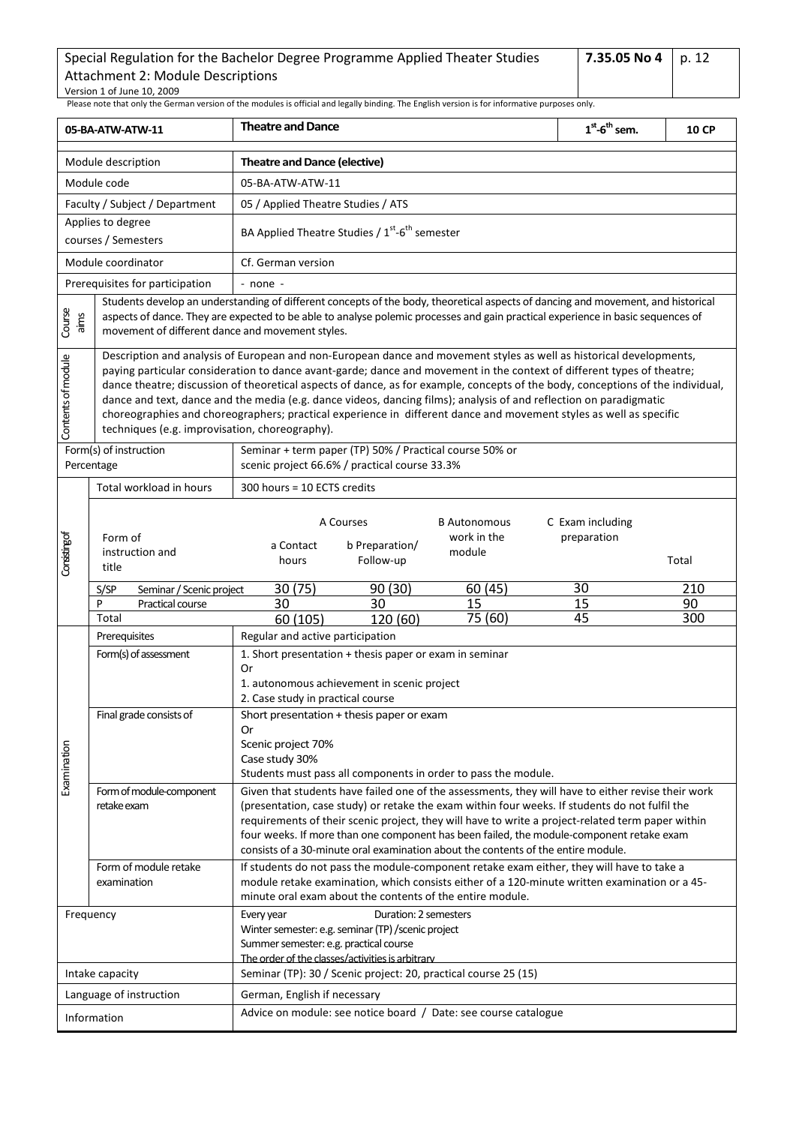<span id="page-11-0"></span>

| 05-BA-ATW-ATW-11                                                                                                                                 |                                                                                                                                                                                                                                                                                                                                                                                                                                                                                                                                                                                                                                                                                | <b>Theatre and Dance</b>                                                                                                                                                                                                                                                                                                                                                                                                                                                                   |                                          |                                                                 | $1st$ -6 <sup>th</sup> sem.                                                                   | 10 CP |  |  |
|--------------------------------------------------------------------------------------------------------------------------------------------------|--------------------------------------------------------------------------------------------------------------------------------------------------------------------------------------------------------------------------------------------------------------------------------------------------------------------------------------------------------------------------------------------------------------------------------------------------------------------------------------------------------------------------------------------------------------------------------------------------------------------------------------------------------------------------------|--------------------------------------------------------------------------------------------------------------------------------------------------------------------------------------------------------------------------------------------------------------------------------------------------------------------------------------------------------------------------------------------------------------------------------------------------------------------------------------------|------------------------------------------|-----------------------------------------------------------------|-----------------------------------------------------------------------------------------------|-------|--|--|
|                                                                                                                                                  | Module description                                                                                                                                                                                                                                                                                                                                                                                                                                                                                                                                                                                                                                                             | Theatre and Dance (elective)                                                                                                                                                                                                                                                                                                                                                                                                                                                               |                                          |                                                                 |                                                                                               |       |  |  |
|                                                                                                                                                  | Module code                                                                                                                                                                                                                                                                                                                                                                                                                                                                                                                                                                                                                                                                    | 05-BA-ATW-ATW-11                                                                                                                                                                                                                                                                                                                                                                                                                                                                           |                                          |                                                                 |                                                                                               |       |  |  |
|                                                                                                                                                  | Faculty / Subject / Department                                                                                                                                                                                                                                                                                                                                                                                                                                                                                                                                                                                                                                                 | 05 / Applied Theatre Studies / ATS                                                                                                                                                                                                                                                                                                                                                                                                                                                         |                                          |                                                                 |                                                                                               |       |  |  |
|                                                                                                                                                  | Applies to degree<br>courses / Semesters                                                                                                                                                                                                                                                                                                                                                                                                                                                                                                                                                                                                                                       | BA Applied Theatre Studies / 1 <sup>st</sup> -6 <sup>th</sup> semester                                                                                                                                                                                                                                                                                                                                                                                                                     |                                          |                                                                 |                                                                                               |       |  |  |
|                                                                                                                                                  | Module coordinator                                                                                                                                                                                                                                                                                                                                                                                                                                                                                                                                                                                                                                                             | Cf. German version                                                                                                                                                                                                                                                                                                                                                                                                                                                                         |                                          |                                                                 |                                                                                               |       |  |  |
|                                                                                                                                                  | Prerequisites for participation                                                                                                                                                                                                                                                                                                                                                                                                                                                                                                                                                                                                                                                | - none -                                                                                                                                                                                                                                                                                                                                                                                                                                                                                   |                                          |                                                                 |                                                                                               |       |  |  |
| Course<br>aims                                                                                                                                   | Students develop an understanding of different concepts of the body, theoretical aspects of dancing and movement, and historical<br>aspects of dance. They are expected to be able to analyse polemic processes and gain practical experience in basic sequences of<br>movement of different dance and movement styles.                                                                                                                                                                                                                                                                                                                                                        |                                                                                                                                                                                                                                                                                                                                                                                                                                                                                            |                                          |                                                                 |                                                                                               |       |  |  |
| Contents of module                                                                                                                               | Description and analysis of European and non-European dance and movement styles as well as historical developments,<br>paying particular consideration to dance avant-garde; dance and movement in the context of different types of theatre;<br>dance theatre; discussion of theoretical aspects of dance, as for example, concepts of the body, conceptions of the individual,<br>dance and text, dance and the media (e.g. dance videos, dancing films); analysis of and reflection on paradigmatic<br>choreographies and choreographers; practical experience in different dance and movement styles as well as specific<br>techniques (e.g. improvisation, choreography). |                                                                                                                                                                                                                                                                                                                                                                                                                                                                                            |                                          |                                                                 |                                                                                               |       |  |  |
| Form(s) of instruction<br>Seminar + term paper (TP) 50% / Practical course 50% or<br>scenic project 66.6% / practical course 33.3%<br>Percentage |                                                                                                                                                                                                                                                                                                                                                                                                                                                                                                                                                                                                                                                                                |                                                                                                                                                                                                                                                                                                                                                                                                                                                                                            |                                          |                                                                 |                                                                                               |       |  |  |
|                                                                                                                                                  | Total workload in hours                                                                                                                                                                                                                                                                                                                                                                                                                                                                                                                                                                                                                                                        | 300 hours = 10 ECTS credits                                                                                                                                                                                                                                                                                                                                                                                                                                                                |                                          |                                                                 |                                                                                               |       |  |  |
| Consisting of                                                                                                                                    | Form of<br>instruction and<br>title                                                                                                                                                                                                                                                                                                                                                                                                                                                                                                                                                                                                                                            | a Contact<br>hours                                                                                                                                                                                                                                                                                                                                                                                                                                                                         | A Courses<br>b Preparation/<br>Follow-up | <b>B</b> Autonomous<br>work in the<br>module                    | C Exam including<br>preparation                                                               | Total |  |  |
|                                                                                                                                                  | S/SP<br>Seminar / Scenic project                                                                                                                                                                                                                                                                                                                                                                                                                                                                                                                                                                                                                                               | 30 (75)                                                                                                                                                                                                                                                                                                                                                                                                                                                                                    | 90 (30)                                  | 60(45)                                                          | 30                                                                                            | 210   |  |  |
|                                                                                                                                                  | P<br>Practical course                                                                                                                                                                                                                                                                                                                                                                                                                                                                                                                                                                                                                                                          | 30                                                                                                                                                                                                                                                                                                                                                                                                                                                                                         | 30                                       | 15                                                              | 15                                                                                            | 90    |  |  |
|                                                                                                                                                  | Total                                                                                                                                                                                                                                                                                                                                                                                                                                                                                                                                                                                                                                                                          | 60(105)<br>Regular and active participation                                                                                                                                                                                                                                                                                                                                                                                                                                                | 120 (60)                                 | 75 (60)                                                         | 45                                                                                            | 300   |  |  |
|                                                                                                                                                  | Prerequisites<br>Form(s) of assessment                                                                                                                                                                                                                                                                                                                                                                                                                                                                                                                                                                                                                                         | 1. Short presentation + thesis paper or exam in seminar<br>Or<br>1. autonomous achievement in scenic project<br>2. Case study in practical course                                                                                                                                                                                                                                                                                                                                          |                                          |                                                                 |                                                                                               |       |  |  |
|                                                                                                                                                  | Final grade consists of                                                                                                                                                                                                                                                                                                                                                                                                                                                                                                                                                                                                                                                        | Short presentation + thesis paper or exam                                                                                                                                                                                                                                                                                                                                                                                                                                                  |                                          |                                                                 |                                                                                               |       |  |  |
|                                                                                                                                                  |                                                                                                                                                                                                                                                                                                                                                                                                                                                                                                                                                                                                                                                                                | Or                                                                                                                                                                                                                                                                                                                                                                                                                                                                                         |                                          |                                                                 |                                                                                               |       |  |  |
| Examination                                                                                                                                      |                                                                                                                                                                                                                                                                                                                                                                                                                                                                                                                                                                                                                                                                                | Scenic project 70%<br>Case study 30%                                                                                                                                                                                                                                                                                                                                                                                                                                                       |                                          |                                                                 |                                                                                               |       |  |  |
|                                                                                                                                                  |                                                                                                                                                                                                                                                                                                                                                                                                                                                                                                                                                                                                                                                                                | Students must pass all components in order to pass the module.                                                                                                                                                                                                                                                                                                                                                                                                                             |                                          |                                                                 |                                                                                               |       |  |  |
|                                                                                                                                                  | Form of module-component<br>retake exam                                                                                                                                                                                                                                                                                                                                                                                                                                                                                                                                                                                                                                        | Given that students have failed one of the assessments, they will have to either revise their work<br>(presentation, case study) or retake the exam within four weeks. If students do not fulfil the<br>requirements of their scenic project, they will have to write a project-related term paper within<br>four weeks. If more than one component has been failed, the module-component retake exam<br>consists of a 30-minute oral examination about the contents of the entire module. |                                          |                                                                 |                                                                                               |       |  |  |
|                                                                                                                                                  | Form of module retake                                                                                                                                                                                                                                                                                                                                                                                                                                                                                                                                                                                                                                                          |                                                                                                                                                                                                                                                                                                                                                                                                                                                                                            |                                          |                                                                 | If students do not pass the module-component retake exam either, they will have to take a     |       |  |  |
|                                                                                                                                                  | examination                                                                                                                                                                                                                                                                                                                                                                                                                                                                                                                                                                                                                                                                    | minute oral exam about the contents of the entire module.                                                                                                                                                                                                                                                                                                                                                                                                                                  |                                          |                                                                 | module retake examination, which consists either of a 120-minute written examination or a 45- |       |  |  |
| Frequency                                                                                                                                        |                                                                                                                                                                                                                                                                                                                                                                                                                                                                                                                                                                                                                                                                                | Every year                                                                                                                                                                                                                                                                                                                                                                                                                                                                                 | Duration: 2 semesters                    |                                                                 |                                                                                               |       |  |  |
|                                                                                                                                                  |                                                                                                                                                                                                                                                                                                                                                                                                                                                                                                                                                                                                                                                                                | Winter semester: e.g. seminar (TP) / scenic project<br>Summer semester: e.g. practical course<br>The order of the classes/activities is arbitrary                                                                                                                                                                                                                                                                                                                                          |                                          |                                                                 |                                                                                               |       |  |  |
|                                                                                                                                                  | Intake capacity                                                                                                                                                                                                                                                                                                                                                                                                                                                                                                                                                                                                                                                                |                                                                                                                                                                                                                                                                                                                                                                                                                                                                                            |                                          | Seminar (TP): 30 / Scenic project: 20, practical course 25 (15) |                                                                                               |       |  |  |
|                                                                                                                                                  | Language of instruction                                                                                                                                                                                                                                                                                                                                                                                                                                                                                                                                                                                                                                                        | German, English if necessary                                                                                                                                                                                                                                                                                                                                                                                                                                                               |                                          |                                                                 |                                                                                               |       |  |  |
|                                                                                                                                                  | Information                                                                                                                                                                                                                                                                                                                                                                                                                                                                                                                                                                                                                                                                    | Advice on module: see notice board / Date: see course catalogue                                                                                                                                                                                                                                                                                                                                                                                                                            |                                          |                                                                 |                                                                                               |       |  |  |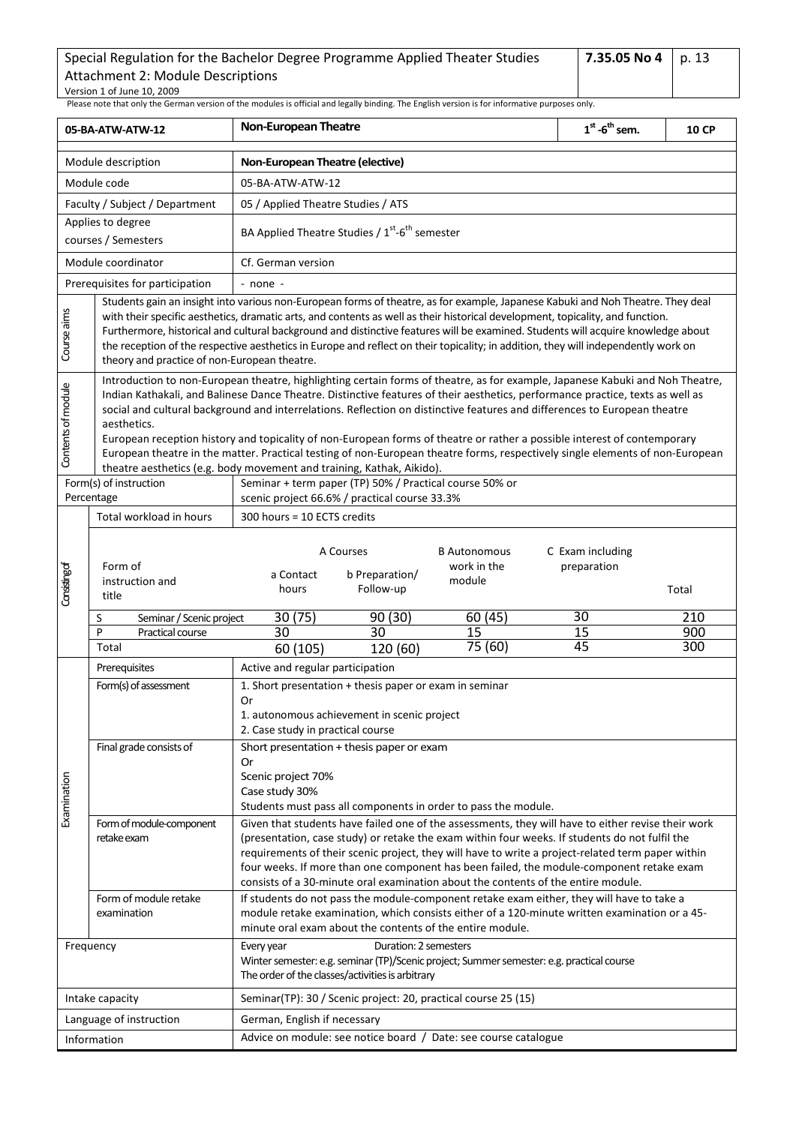<span id="page-12-0"></span>

| 05-BA-ATW-ATW-12   |                                                                                                                                                                                                                                                                                                                                                                                                                                                                                                                                                                                                                                                                                                                                                   | <b>Non-European Theatre</b>                                                                                                                                                                                                                                                                                                                                                                                                                                                                | $1st$ -6 <sup>th</sup> sem.     | <b>10 CP</b> |  |  |  |  |  |
|--------------------|---------------------------------------------------------------------------------------------------------------------------------------------------------------------------------------------------------------------------------------------------------------------------------------------------------------------------------------------------------------------------------------------------------------------------------------------------------------------------------------------------------------------------------------------------------------------------------------------------------------------------------------------------------------------------------------------------------------------------------------------------|--------------------------------------------------------------------------------------------------------------------------------------------------------------------------------------------------------------------------------------------------------------------------------------------------------------------------------------------------------------------------------------------------------------------------------------------------------------------------------------------|---------------------------------|--------------|--|--|--|--|--|
|                    | Module description                                                                                                                                                                                                                                                                                                                                                                                                                                                                                                                                                                                                                                                                                                                                | Non-European Theatre (elective)                                                                                                                                                                                                                                                                                                                                                                                                                                                            |                                 |              |  |  |  |  |  |
|                    | Module code                                                                                                                                                                                                                                                                                                                                                                                                                                                                                                                                                                                                                                                                                                                                       | 05-BA-ATW-ATW-12                                                                                                                                                                                                                                                                                                                                                                                                                                                                           |                                 |              |  |  |  |  |  |
|                    | Faculty / Subject / Department                                                                                                                                                                                                                                                                                                                                                                                                                                                                                                                                                                                                                                                                                                                    | 05 / Applied Theatre Studies / ATS                                                                                                                                                                                                                                                                                                                                                                                                                                                         |                                 |              |  |  |  |  |  |
|                    | Applies to degree<br>courses / Semesters                                                                                                                                                                                                                                                                                                                                                                                                                                                                                                                                                                                                                                                                                                          | BA Applied Theatre Studies / 1 <sup>st</sup> -6 <sup>th</sup> semester                                                                                                                                                                                                                                                                                                                                                                                                                     |                                 |              |  |  |  |  |  |
|                    | Module coordinator                                                                                                                                                                                                                                                                                                                                                                                                                                                                                                                                                                                                                                                                                                                                | Cf. German version                                                                                                                                                                                                                                                                                                                                                                                                                                                                         |                                 |              |  |  |  |  |  |
|                    | Prerequisites for participation                                                                                                                                                                                                                                                                                                                                                                                                                                                                                                                                                                                                                                                                                                                   | $-$ none $-$                                                                                                                                                                                                                                                                                                                                                                                                                                                                               |                                 |              |  |  |  |  |  |
| Course aims        | Students gain an insight into various non-European forms of theatre, as for example, Japanese Kabuki and Noh Theatre. They deal<br>with their specific aesthetics, dramatic arts, and contents as well as their historical development, topicality, and function.<br>Furthermore, historical and cultural background and distinctive features will be examined. Students will acquire knowledge about<br>the reception of the respective aesthetics in Europe and reflect on their topicality; in addition, they will independently work on<br>theory and practice of non-European theatre.                                                                                                                                                       |                                                                                                                                                                                                                                                                                                                                                                                                                                                                                            |                                 |              |  |  |  |  |  |
| Contents of module | Introduction to non-European theatre, highlighting certain forms of theatre, as for example, Japanese Kabuki and Noh Theatre,<br>Indian Kathakali, and Balinese Dance Theatre. Distinctive features of their aesthetics, performance practice, texts as well as<br>social and cultural background and interrelations. Reflection on distinctive features and differences to European theatre<br>aesthetics.<br>European reception history and topicality of non-European forms of theatre or rather a possible interest of contemporary<br>European theatre in the matter. Practical testing of non-European theatre forms, respectively single elements of non-European<br>theatre aesthetics (e.g. body movement and training, Kathak, Aikido). |                                                                                                                                                                                                                                                                                                                                                                                                                                                                                            |                                 |              |  |  |  |  |  |
|                    | Form(s) of instruction<br>Percentage                                                                                                                                                                                                                                                                                                                                                                                                                                                                                                                                                                                                                                                                                                              | Seminar + term paper (TP) 50% / Practical course 50% or<br>scenic project 66.6% / practical course 33.3%                                                                                                                                                                                                                                                                                                                                                                                   |                                 |              |  |  |  |  |  |
|                    | Total workload in hours                                                                                                                                                                                                                                                                                                                                                                                                                                                                                                                                                                                                                                                                                                                           | 300 hours = 10 ECTS credits                                                                                                                                                                                                                                                                                                                                                                                                                                                                |                                 |              |  |  |  |  |  |
| Consisting of      | Form of<br>instruction and<br>title                                                                                                                                                                                                                                                                                                                                                                                                                                                                                                                                                                                                                                                                                                               | A Courses<br><b>B</b> Autonomous<br>work in the<br>b Preparation/<br>a Contact<br>module<br>Follow-up<br>hours                                                                                                                                                                                                                                                                                                                                                                             | C Exam including<br>preparation | Total        |  |  |  |  |  |
|                    | Seminar / Scenic project<br>S                                                                                                                                                                                                                                                                                                                                                                                                                                                                                                                                                                                                                                                                                                                     | 30(75)<br>90(30)<br>60(45)                                                                                                                                                                                                                                                                                                                                                                                                                                                                 | 30                              | 210          |  |  |  |  |  |
|                    | P<br>Practical course<br>Total                                                                                                                                                                                                                                                                                                                                                                                                                                                                                                                                                                                                                                                                                                                    | 30<br>15<br>30<br>75 (60)                                                                                                                                                                                                                                                                                                                                                                                                                                                                  | $\overline{15}$<br>45           | 900<br>300   |  |  |  |  |  |
|                    |                                                                                                                                                                                                                                                                                                                                                                                                                                                                                                                                                                                                                                                                                                                                                   | 60 (105)<br>120 (60)                                                                                                                                                                                                                                                                                                                                                                                                                                                                       |                                 |              |  |  |  |  |  |
|                    | Prerequisites<br>Form(s) of assessment                                                                                                                                                                                                                                                                                                                                                                                                                                                                                                                                                                                                                                                                                                            | Active and regular participation<br>1. Short presentation + thesis paper or exam in seminar                                                                                                                                                                                                                                                                                                                                                                                                |                                 |              |  |  |  |  |  |
|                    | Final grade consists of                                                                                                                                                                                                                                                                                                                                                                                                                                                                                                                                                                                                                                                                                                                           | Or<br>1. autonomous achievement in scenic project<br>2. Case study in practical course                                                                                                                                                                                                                                                                                                                                                                                                     |                                 |              |  |  |  |  |  |
| Examination        |                                                                                                                                                                                                                                                                                                                                                                                                                                                                                                                                                                                                                                                                                                                                                   | Short presentation + thesis paper or exam<br>Or<br>Scenic project 70%<br>Case study 30%<br>Students must pass all components in order to pass the module.                                                                                                                                                                                                                                                                                                                                  |                                 |              |  |  |  |  |  |
|                    | Form of module-component<br>retake exam                                                                                                                                                                                                                                                                                                                                                                                                                                                                                                                                                                                                                                                                                                           | Given that students have failed one of the assessments, they will have to either revise their work<br>(presentation, case study) or retake the exam within four weeks. If students do not fulfil the<br>requirements of their scenic project, they will have to write a project-related term paper within<br>four weeks. If more than one component has been failed, the module-component retake exam<br>consists of a 30-minute oral examination about the contents of the entire module. |                                 |              |  |  |  |  |  |
|                    | Form of module retake<br>examination                                                                                                                                                                                                                                                                                                                                                                                                                                                                                                                                                                                                                                                                                                              | If students do not pass the module-component retake exam either, they will have to take a<br>module retake examination, which consists either of a 120-minute written examination or a 45-<br>minute oral exam about the contents of the entire module.                                                                                                                                                                                                                                    |                                 |              |  |  |  |  |  |
|                    | Frequency                                                                                                                                                                                                                                                                                                                                                                                                                                                                                                                                                                                                                                                                                                                                         | Duration: 2 semesters<br>Every year<br>Winter semester: e.g. seminar (TP)/Scenic project; Summer semester: e.g. practical course<br>The order of the classes/activities is arbitrary                                                                                                                                                                                                                                                                                                       |                                 |              |  |  |  |  |  |
|                    | Intake capacity                                                                                                                                                                                                                                                                                                                                                                                                                                                                                                                                                                                                                                                                                                                                   | Seminar(TP): 30 / Scenic project: 20, practical course 25 (15)                                                                                                                                                                                                                                                                                                                                                                                                                             |                                 |              |  |  |  |  |  |
|                    | Language of instruction                                                                                                                                                                                                                                                                                                                                                                                                                                                                                                                                                                                                                                                                                                                           | German, English if necessary                                                                                                                                                                                                                                                                                                                                                                                                                                                               |                                 |              |  |  |  |  |  |
| Information        |                                                                                                                                                                                                                                                                                                                                                                                                                                                                                                                                                                                                                                                                                                                                                   | Advice on module: see notice board / Date: see course catalogue                                                                                                                                                                                                                                                                                                                                                                                                                            |                                 |              |  |  |  |  |  |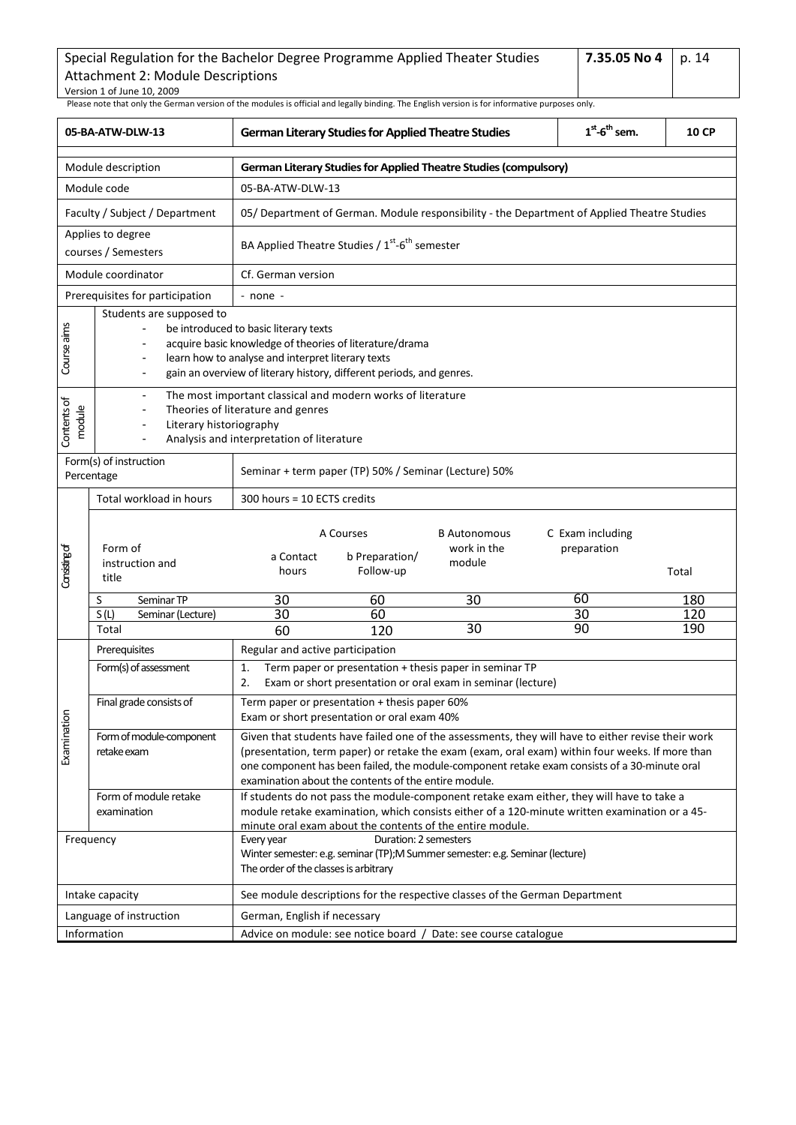| Special Regulation for the Bachelor Degree Programme Applied Theater Studies | l 7.35.05 No 4 | p.14 |
|------------------------------------------------------------------------------|----------------|------|
| Attachment 2: Module Descriptions                                            |                |      |
| Version 1 of June 10, 2009                                                   |                |      |

<span id="page-13-0"></span>

|                       | 05-BA-ATW-DLW-13                                                                                                                                                         |                                                                                            | <b>German Literary Studies for Applied Theatre Studies</b>                                                                                                                                                                                                                                                                                                    | $1st$ -6 <sup>th</sup> sem.                                                                                                                                                                | 10 CP                           |            |  |  |
|-----------------------|--------------------------------------------------------------------------------------------------------------------------------------------------------------------------|--------------------------------------------------------------------------------------------|---------------------------------------------------------------------------------------------------------------------------------------------------------------------------------------------------------------------------------------------------------------------------------------------------------------------------------------------------------------|--------------------------------------------------------------------------------------------------------------------------------------------------------------------------------------------|---------------------------------|------------|--|--|
|                       | Module description                                                                                                                                                       | <b>German Literary Studies for Applied Theatre Studies (compulsory)</b>                    |                                                                                                                                                                                                                                                                                                                                                               |                                                                                                                                                                                            |                                 |            |  |  |
|                       | Module code                                                                                                                                                              | 05-BA-ATW-DLW-13                                                                           |                                                                                                                                                                                                                                                                                                                                                               |                                                                                                                                                                                            |                                 |            |  |  |
|                       | Faculty / Subject / Department                                                                                                                                           |                                                                                            |                                                                                                                                                                                                                                                                                                                                                               | 05/ Department of German. Module responsibility - the Department of Applied Theatre Studies                                                                                                |                                 |            |  |  |
|                       | Applies to degree<br>courses / Semesters                                                                                                                                 |                                                                                            | BA Applied Theatre Studies / 1 <sup>st</sup> -6 <sup>th</sup> semester                                                                                                                                                                                                                                                                                        |                                                                                                                                                                                            |                                 |            |  |  |
|                       | Module coordinator                                                                                                                                                       | Cf. German version                                                                         |                                                                                                                                                                                                                                                                                                                                                               |                                                                                                                                                                                            |                                 |            |  |  |
|                       | Prerequisites for participation                                                                                                                                          | - none -                                                                                   |                                                                                                                                                                                                                                                                                                                                                               |                                                                                                                                                                                            |                                 |            |  |  |
| Course aims           | Students are supposed to<br>$\overline{a}$<br>$\overline{a}$                                                                                                             | be introduced to basic literary texts<br>learn how to analyse and interpret literary texts | acquire basic knowledge of theories of literature/drama<br>gain an overview of literary history, different periods, and genres.                                                                                                                                                                                                                               |                                                                                                                                                                                            |                                 |            |  |  |
| Contents of<br>module | The most important classical and modern works of literature<br>Theories of literature and genres<br>Literary historiography<br>Analysis and interpretation of literature |                                                                                            |                                                                                                                                                                                                                                                                                                                                                               |                                                                                                                                                                                            |                                 |            |  |  |
|                       | Form(s) of instruction<br>Percentage                                                                                                                                     |                                                                                            | Seminar + term paper (TP) 50% / Seminar (Lecture) 50%                                                                                                                                                                                                                                                                                                         |                                                                                                                                                                                            |                                 |            |  |  |
|                       | Total workload in hours                                                                                                                                                  | 300 hours = 10 ECTS credits                                                                |                                                                                                                                                                                                                                                                                                                                                               |                                                                                                                                                                                            |                                 |            |  |  |
| Considing of          | Form of<br>instruction and<br>title                                                                                                                                      | a Contact<br>hours                                                                         | A Courses<br>b Preparation/<br>Follow-up                                                                                                                                                                                                                                                                                                                      | <b>B</b> Autonomous<br>work in the<br>module                                                                                                                                               | C Exam including<br>preparation | Total      |  |  |
|                       | Seminar TP<br>S<br>S(L)<br>Seminar (Lecture)                                                                                                                             | 30<br>30                                                                                   | 60<br>60                                                                                                                                                                                                                                                                                                                                                      | $\overline{30}$                                                                                                                                                                            | 60<br>30                        | 180<br>120 |  |  |
|                       | Total                                                                                                                                                                    | 60                                                                                         | 120                                                                                                                                                                                                                                                                                                                                                           | 30                                                                                                                                                                                         | 90                              | 190        |  |  |
|                       | Prerequisites                                                                                                                                                            | Regular and active participation                                                           |                                                                                                                                                                                                                                                                                                                                                               |                                                                                                                                                                                            |                                 |            |  |  |
|                       | Form(s) of assessment                                                                                                                                                    | 1.<br>2.                                                                                   |                                                                                                                                                                                                                                                                                                                                                               | Term paper or presentation + thesis paper in seminar TP<br>Exam or short presentation or oral exam in seminar (lecture)                                                                    |                                 |            |  |  |
|                       | Final grade consists of                                                                                                                                                  |                                                                                            | Term paper or presentation + thesis paper 60%<br>Exam or short presentation or oral exam 40%                                                                                                                                                                                                                                                                  |                                                                                                                                                                                            |                                 |            |  |  |
| Examination           | Form of module-component<br>retake exam                                                                                                                                  |                                                                                            | Given that students have failed one of the assessments, they will have to either revise their work<br>(presentation, term paper) or retake the exam (exam, oral exam) within four weeks. If more than<br>one component has been failed, the module-component retake exam consists of a 30-minute oral<br>examination about the contents of the entire module. |                                                                                                                                                                                            |                                 |            |  |  |
|                       | Form of module retake<br>examination                                                                                                                                     |                                                                                            | minute oral exam about the contents of the entire module.                                                                                                                                                                                                                                                                                                     | If students do not pass the module-component retake exam either, they will have to take a<br>module retake examination, which consists either of a 120-minute written examination or a 45- |                                 |            |  |  |
| Frequency             |                                                                                                                                                                          | Every year<br>The order of the classes is arbitrary                                        | Duration: 2 semesters                                                                                                                                                                                                                                                                                                                                         | Winter semester: e.g. seminar (TP);M Summer semester: e.g. Seminar (lecture)                                                                                                               |                                 |            |  |  |
|                       | Intake capacity                                                                                                                                                          |                                                                                            |                                                                                                                                                                                                                                                                                                                                                               | See module descriptions for the respective classes of the German Department                                                                                                                |                                 |            |  |  |
|                       | Language of instruction                                                                                                                                                  | German, English if necessary                                                               |                                                                                                                                                                                                                                                                                                                                                               |                                                                                                                                                                                            |                                 |            |  |  |
| Information           |                                                                                                                                                                          | Advice on module: see notice board / Date: see course catalogue                            |                                                                                                                                                                                                                                                                                                                                                               |                                                                                                                                                                                            |                                 |            |  |  |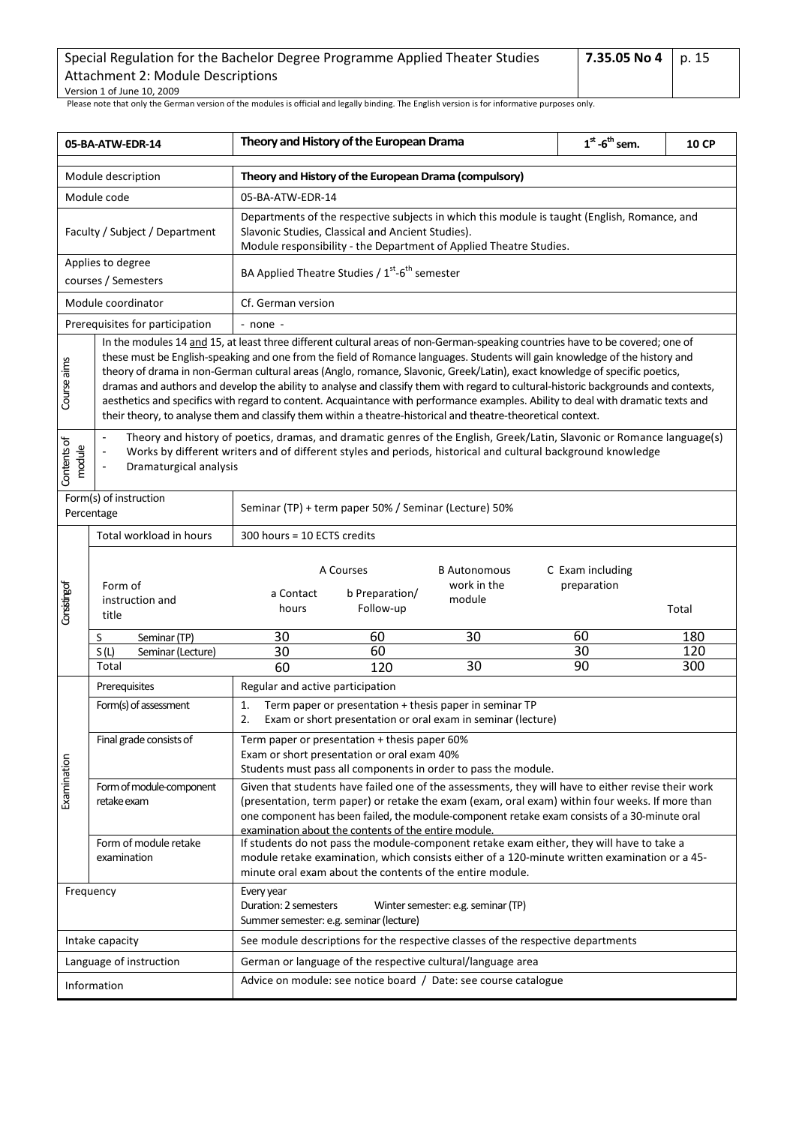| Special Regulation for the Bachelor Degree Programme Applied Theater Studies | 7.35.05 No 4   p. 15 |  |
|------------------------------------------------------------------------------|----------------------|--|
| Attachment 2: Module Descriptions                                            |                      |  |
| Version 1 of June 10, 2009                                                   |                      |  |

<span id="page-14-0"></span>

| 05-BA-ATW-EDR-14                                                                                                                                                                                                                                                                                                                                                                                                                                                                                                                                                                                                                                                                                                                                                                                                                                                                                                                                                                                                                                                                                  |                                          | Theory and History of the European Drama                                                                                                                                                                                                                                                                        |                                                                                              |                                                                                                                                                                                                                                                                                                       | $1st$ -6 <sup>th</sup> sem.     | <b>10 CP</b> |  |  |
|---------------------------------------------------------------------------------------------------------------------------------------------------------------------------------------------------------------------------------------------------------------------------------------------------------------------------------------------------------------------------------------------------------------------------------------------------------------------------------------------------------------------------------------------------------------------------------------------------------------------------------------------------------------------------------------------------------------------------------------------------------------------------------------------------------------------------------------------------------------------------------------------------------------------------------------------------------------------------------------------------------------------------------------------------------------------------------------------------|------------------------------------------|-----------------------------------------------------------------------------------------------------------------------------------------------------------------------------------------------------------------------------------------------------------------------------------------------------------------|----------------------------------------------------------------------------------------------|-------------------------------------------------------------------------------------------------------------------------------------------------------------------------------------------------------------------------------------------------------------------------------------------------------|---------------------------------|--------------|--|--|
|                                                                                                                                                                                                                                                                                                                                                                                                                                                                                                                                                                                                                                                                                                                                                                                                                                                                                                                                                                                                                                                                                                   | Module description                       | Theory and History of the European Drama (compulsory)                                                                                                                                                                                                                                                           |                                                                                              |                                                                                                                                                                                                                                                                                                       |                                 |              |  |  |
|                                                                                                                                                                                                                                                                                                                                                                                                                                                                                                                                                                                                                                                                                                                                                                                                                                                                                                                                                                                                                                                                                                   | Module code                              | 05-BA-ATW-EDR-14                                                                                                                                                                                                                                                                                                |                                                                                              |                                                                                                                                                                                                                                                                                                       |                                 |              |  |  |
|                                                                                                                                                                                                                                                                                                                                                                                                                                                                                                                                                                                                                                                                                                                                                                                                                                                                                                                                                                                                                                                                                                   | Faculty / Subject / Department           | Departments of the respective subjects in which this module is taught (English, Romance, and<br>Slavonic Studies, Classical and Ancient Studies).<br>Module responsibility - the Department of Applied Theatre Studies.                                                                                         |                                                                                              |                                                                                                                                                                                                                                                                                                       |                                 |              |  |  |
|                                                                                                                                                                                                                                                                                                                                                                                                                                                                                                                                                                                                                                                                                                                                                                                                                                                                                                                                                                                                                                                                                                   | Applies to degree<br>courses / Semesters |                                                                                                                                                                                                                                                                                                                 | BA Applied Theatre Studies / 1 <sup>st</sup> -6 <sup>th</sup> semester                       |                                                                                                                                                                                                                                                                                                       |                                 |              |  |  |
|                                                                                                                                                                                                                                                                                                                                                                                                                                                                                                                                                                                                                                                                                                                                                                                                                                                                                                                                                                                                                                                                                                   | Module coordinator                       | Cf. German version                                                                                                                                                                                                                                                                                              |                                                                                              |                                                                                                                                                                                                                                                                                                       |                                 |              |  |  |
|                                                                                                                                                                                                                                                                                                                                                                                                                                                                                                                                                                                                                                                                                                                                                                                                                                                                                                                                                                                                                                                                                                   | Prerequisites for participation          | - none -                                                                                                                                                                                                                                                                                                        |                                                                                              |                                                                                                                                                                                                                                                                                                       |                                 |              |  |  |
| In the modules 14 and 15, at least three different cultural areas of non-German-speaking countries have to be covered; one of<br>these must be English-speaking and one from the field of Romance languages. Students will gain knowledge of the history and<br>Course aims<br>theory of drama in non-German cultural areas (Anglo, romance, Slavonic, Greek/Latin), exact knowledge of specific poetics,<br>dramas and authors and develop the ability to analyse and classify them with regard to cultural-historic backgrounds and contexts,<br>aesthetics and specifics with regard to content. Acquaintance with performance examples. Ability to deal with dramatic texts and<br>their theory, to analyse them and classify them within a theatre-historical and theatre-theoretical context.<br>Theory and history of poetics, dramas, and dramatic genres of the English, Greek/Latin, Slavonic or Romance language(s)<br>Contents of<br>module<br>Works by different writers and of different styles and periods, historical and cultural background knowledge<br>Dramaturgical analysis |                                          |                                                                                                                                                                                                                                                                                                                 |                                                                                              |                                                                                                                                                                                                                                                                                                       |                                 |              |  |  |
| Form(s) of instruction<br>Seminar (TP) + term paper 50% / Seminar (Lecture) 50%<br>Percentage                                                                                                                                                                                                                                                                                                                                                                                                                                                                                                                                                                                                                                                                                                                                                                                                                                                                                                                                                                                                     |                                          |                                                                                                                                                                                                                                                                                                                 |                                                                                              |                                                                                                                                                                                                                                                                                                       |                                 |              |  |  |
|                                                                                                                                                                                                                                                                                                                                                                                                                                                                                                                                                                                                                                                                                                                                                                                                                                                                                                                                                                                                                                                                                                   | Total workload in hours                  |                                                                                                                                                                                                                                                                                                                 | 300 hours = 10 ECTS credits                                                                  |                                                                                                                                                                                                                                                                                                       |                                 |              |  |  |
| Consisting of                                                                                                                                                                                                                                                                                                                                                                                                                                                                                                                                                                                                                                                                                                                                                                                                                                                                                                                                                                                                                                                                                     | Form of<br>instruction and<br>title      | a Contact<br>hours                                                                                                                                                                                                                                                                                              | A Courses<br>b Preparation/<br>Follow-up                                                     | <b>B</b> Autonomous<br>work in the<br>module                                                                                                                                                                                                                                                          | C Exam including<br>preparation | Total        |  |  |
|                                                                                                                                                                                                                                                                                                                                                                                                                                                                                                                                                                                                                                                                                                                                                                                                                                                                                                                                                                                                                                                                                                   | Seminar (TP)<br>S                        | 30                                                                                                                                                                                                                                                                                                              | 60                                                                                           | 30                                                                                                                                                                                                                                                                                                    | 60                              | 180          |  |  |
|                                                                                                                                                                                                                                                                                                                                                                                                                                                                                                                                                                                                                                                                                                                                                                                                                                                                                                                                                                                                                                                                                                   | S(L)<br>Seminar (Lecture)                | 30                                                                                                                                                                                                                                                                                                              | 60                                                                                           |                                                                                                                                                                                                                                                                                                       | 30                              | 120          |  |  |
|                                                                                                                                                                                                                                                                                                                                                                                                                                                                                                                                                                                                                                                                                                                                                                                                                                                                                                                                                                                                                                                                                                   | Total                                    | 60                                                                                                                                                                                                                                                                                                              | 120                                                                                          | 30                                                                                                                                                                                                                                                                                                    | 90                              | 300          |  |  |
|                                                                                                                                                                                                                                                                                                                                                                                                                                                                                                                                                                                                                                                                                                                                                                                                                                                                                                                                                                                                                                                                                                   | Prerequisites<br>Form(s) of assessment   | Regular and active participation<br>Term paper or presentation + thesis paper in seminar TP<br>1.<br>2.<br>Exam or short presentation or oral exam in seminar (lecture)                                                                                                                                         |                                                                                              |                                                                                                                                                                                                                                                                                                       |                                 |              |  |  |
|                                                                                                                                                                                                                                                                                                                                                                                                                                                                                                                                                                                                                                                                                                                                                                                                                                                                                                                                                                                                                                                                                                   | Final grade consists of                  |                                                                                                                                                                                                                                                                                                                 | Term paper or presentation + thesis paper 60%<br>Exam or short presentation or oral exam 40% | Students must pass all components in order to pass the module.                                                                                                                                                                                                                                        |                                 |              |  |  |
| Examination                                                                                                                                                                                                                                                                                                                                                                                                                                                                                                                                                                                                                                                                                                                                                                                                                                                                                                                                                                                                                                                                                       | Form of module-component<br>retake exam  |                                                                                                                                                                                                                                                                                                                 |                                                                                              | Given that students have failed one of the assessments, they will have to either revise their work<br>(presentation, term paper) or retake the exam (exam, oral exam) within four weeks. If more than<br>one component has been failed, the module-component retake exam consists of a 30-minute oral |                                 |              |  |  |
|                                                                                                                                                                                                                                                                                                                                                                                                                                                                                                                                                                                                                                                                                                                                                                                                                                                                                                                                                                                                                                                                                                   | Form of module retake<br>examination     | examination about the contents of the entire module.<br>If students do not pass the module-component retake exam either, they will have to take a<br>module retake examination, which consists either of a 120-minute written examination or a 45-<br>minute oral exam about the contents of the entire module. |                                                                                              |                                                                                                                                                                                                                                                                                                       |                                 |              |  |  |
|                                                                                                                                                                                                                                                                                                                                                                                                                                                                                                                                                                                                                                                                                                                                                                                                                                                                                                                                                                                                                                                                                                   | Frequency                                | Every year<br>Duration: 2 semesters                                                                                                                                                                                                                                                                             | Summer semester: e.g. seminar (lecture)                                                      | Winter semester: e.g. seminar (TP)                                                                                                                                                                                                                                                                    |                                 |              |  |  |
|                                                                                                                                                                                                                                                                                                                                                                                                                                                                                                                                                                                                                                                                                                                                                                                                                                                                                                                                                                                                                                                                                                   | Intake capacity                          |                                                                                                                                                                                                                                                                                                                 |                                                                                              | See module descriptions for the respective classes of the respective departments                                                                                                                                                                                                                      |                                 |              |  |  |
|                                                                                                                                                                                                                                                                                                                                                                                                                                                                                                                                                                                                                                                                                                                                                                                                                                                                                                                                                                                                                                                                                                   | Language of instruction                  |                                                                                                                                                                                                                                                                                                                 |                                                                                              | German or language of the respective cultural/language area                                                                                                                                                                                                                                           |                                 |              |  |  |
|                                                                                                                                                                                                                                                                                                                                                                                                                                                                                                                                                                                                                                                                                                                                                                                                                                                                                                                                                                                                                                                                                                   | Information                              | Advice on module: see notice board / Date: see course catalogue                                                                                                                                                                                                                                                 |                                                                                              |                                                                                                                                                                                                                                                                                                       |                                 |              |  |  |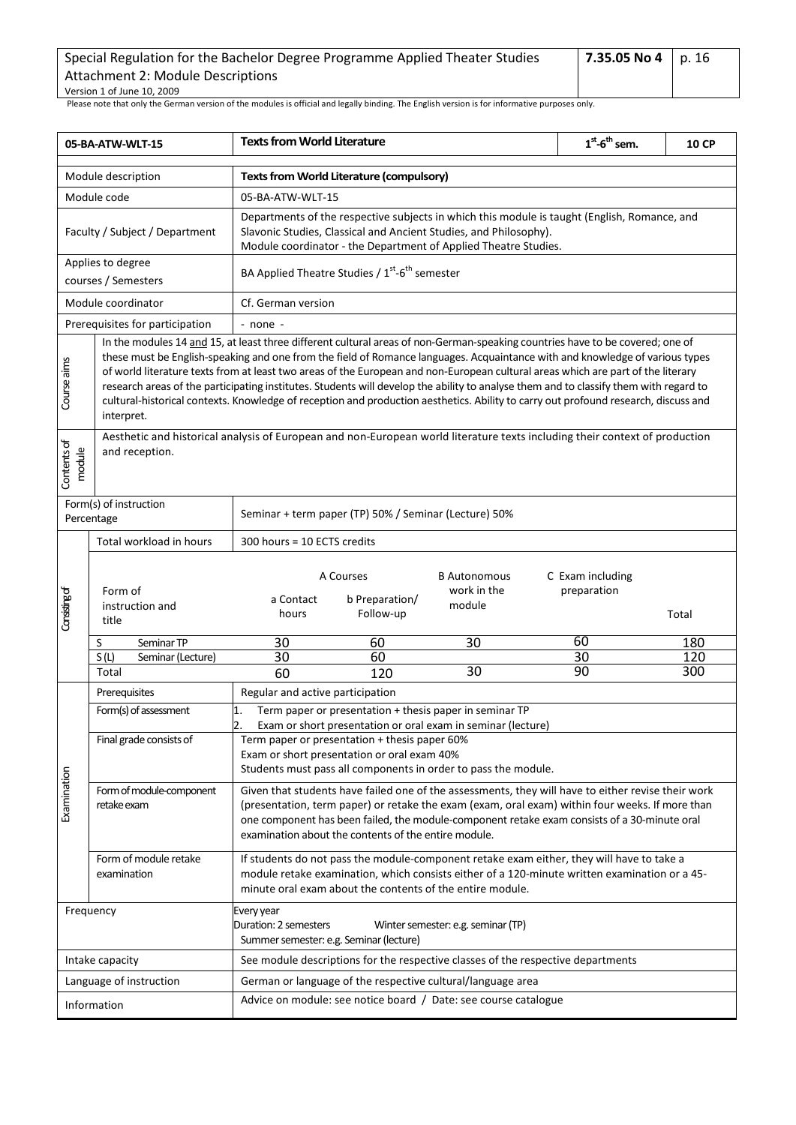| Special Regulation for the Bachelor Degree Programme Applied Theater Studies | 7.35.05 No 4   p. 16 |  |
|------------------------------------------------------------------------------|----------------------|--|
| Attachment 2: Module Descriptions                                            |                      |  |
| Version 1 of June 10, 2009                                                   |                      |  |

<span id="page-15-0"></span>

| 05-BA-ATW-WLT-15                                                                                                                                                                                                                                                                                                                                                                                                                                                                                                                                                                                                                                                                                               |                                                                                                                                               | <b>Texts from World Literature</b>                                                                                                                                                                                                                                                                                                                            |                                          |                                              | $1st$ -6 <sup>th</sup> sem.     | <b>10 CP</b> |  |  |
|----------------------------------------------------------------------------------------------------------------------------------------------------------------------------------------------------------------------------------------------------------------------------------------------------------------------------------------------------------------------------------------------------------------------------------------------------------------------------------------------------------------------------------------------------------------------------------------------------------------------------------------------------------------------------------------------------------------|-----------------------------------------------------------------------------------------------------------------------------------------------|---------------------------------------------------------------------------------------------------------------------------------------------------------------------------------------------------------------------------------------------------------------------------------------------------------------------------------------------------------------|------------------------------------------|----------------------------------------------|---------------------------------|--------------|--|--|
| Module description                                                                                                                                                                                                                                                                                                                                                                                                                                                                                                                                                                                                                                                                                             |                                                                                                                                               | Texts from World Literature (compulsory)                                                                                                                                                                                                                                                                                                                      |                                          |                                              |                                 |              |  |  |
| Module code                                                                                                                                                                                                                                                                                                                                                                                                                                                                                                                                                                                                                                                                                                    |                                                                                                                                               | 05-BA-ATW-WLT-15                                                                                                                                                                                                                                                                                                                                              |                                          |                                              |                                 |              |  |  |
| Faculty / Subject / Department<br>Applies to degree                                                                                                                                                                                                                                                                                                                                                                                                                                                                                                                                                                                                                                                            |                                                                                                                                               | Departments of the respective subjects in which this module is taught (English, Romance, and<br>Slavonic Studies, Classical and Ancient Studies, and Philosophy).<br>Module coordinator - the Department of Applied Theatre Studies.                                                                                                                          |                                          |                                              |                                 |              |  |  |
|                                                                                                                                                                                                                                                                                                                                                                                                                                                                                                                                                                                                                                                                                                                | courses / Semesters                                                                                                                           | BA Applied Theatre Studies / 1 <sup>st</sup> -6 <sup>th</sup> semester                                                                                                                                                                                                                                                                                        |                                          |                                              |                                 |              |  |  |
|                                                                                                                                                                                                                                                                                                                                                                                                                                                                                                                                                                                                                                                                                                                | Module coordinator                                                                                                                            | Cf. German version                                                                                                                                                                                                                                                                                                                                            |                                          |                                              |                                 |              |  |  |
|                                                                                                                                                                                                                                                                                                                                                                                                                                                                                                                                                                                                                                                                                                                | Prerequisites for participation                                                                                                               | - none -                                                                                                                                                                                                                                                                                                                                                      |                                          |                                              |                                 |              |  |  |
| In the modules 14 and 15, at least three different cultural areas of non-German-speaking countries have to be covered; one of<br>these must be English-speaking and one from the field of Romance languages. Acquaintance with and knowledge of various types<br>Course aims<br>of world literature texts from at least two areas of the European and non-European cultural areas which are part of the literary<br>research areas of the participating institutes. Students will develop the ability to analyse them and to classify them with regard to<br>cultural-historical contexts. Knowledge of reception and production aesthetics. Ability to carry out profound research, discuss and<br>interpret. |                                                                                                                                               |                                                                                                                                                                                                                                                                                                                                                               |                                          |                                              |                                 |              |  |  |
| Contents of<br>module                                                                                                                                                                                                                                                                                                                                                                                                                                                                                                                                                                                                                                                                                          | Aesthetic and historical analysis of European and non-European world literature texts including their context of production<br>and reception. |                                                                                                                                                                                                                                                                                                                                                               |                                          |                                              |                                 |              |  |  |
|                                                                                                                                                                                                                                                                                                                                                                                                                                                                                                                                                                                                                                                                                                                | Form(s) of instruction<br>Percentage                                                                                                          | Seminar + term paper (TP) 50% / Seminar (Lecture) 50%                                                                                                                                                                                                                                                                                                         |                                          |                                              |                                 |              |  |  |
|                                                                                                                                                                                                                                                                                                                                                                                                                                                                                                                                                                                                                                                                                                                | Total workload in hours                                                                                                                       | 300 hours = 10 ECTS credits                                                                                                                                                                                                                                                                                                                                   |                                          |                                              |                                 |              |  |  |
| Consisting of                                                                                                                                                                                                                                                                                                                                                                                                                                                                                                                                                                                                                                                                                                  | Form of<br>instruction and<br>title                                                                                                           | a Contact<br>hours                                                                                                                                                                                                                                                                                                                                            | A Courses<br>b Preparation/<br>Follow-up | <b>B</b> Autonomous<br>work in the<br>module | C Exam including<br>preparation | Total        |  |  |
|                                                                                                                                                                                                                                                                                                                                                                                                                                                                                                                                                                                                                                                                                                                | S<br>Seminar TP                                                                                                                               | 30                                                                                                                                                                                                                                                                                                                                                            | 60                                       | 30                                           | 60                              | 180          |  |  |
|                                                                                                                                                                                                                                                                                                                                                                                                                                                                                                                                                                                                                                                                                                                | S(L)<br>Seminar (Lecture)                                                                                                                     | 30                                                                                                                                                                                                                                                                                                                                                            | 60                                       |                                              | 30                              | 120          |  |  |
|                                                                                                                                                                                                                                                                                                                                                                                                                                                                                                                                                                                                                                                                                                                | Total                                                                                                                                         | 60                                                                                                                                                                                                                                                                                                                                                            | 120                                      | $\overline{30}$                              | 90                              | 300          |  |  |
|                                                                                                                                                                                                                                                                                                                                                                                                                                                                                                                                                                                                                                                                                                                | Prerequisites                                                                                                                                 | Regular and active participation                                                                                                                                                                                                                                                                                                                              |                                          |                                              |                                 |              |  |  |
|                                                                                                                                                                                                                                                                                                                                                                                                                                                                                                                                                                                                                                                                                                                | Form(s) of assessment                                                                                                                         | Term paper or presentation + thesis paper in seminar TP<br>1.<br>$\overline{2}$<br>Exam or short presentation or oral exam in seminar (lecture)                                                                                                                                                                                                               |                                          |                                              |                                 |              |  |  |
|                                                                                                                                                                                                                                                                                                                                                                                                                                                                                                                                                                                                                                                                                                                | Final grade consists of                                                                                                                       | Term paper or presentation + thesis paper 60%                                                                                                                                                                                                                                                                                                                 |                                          |                                              |                                 |              |  |  |
|                                                                                                                                                                                                                                                                                                                                                                                                                                                                                                                                                                                                                                                                                                                |                                                                                                                                               | Exam or short presentation or oral exam 40%                                                                                                                                                                                                                                                                                                                   |                                          |                                              |                                 |              |  |  |
|                                                                                                                                                                                                                                                                                                                                                                                                                                                                                                                                                                                                                                                                                                                |                                                                                                                                               | Students must pass all components in order to pass the module.                                                                                                                                                                                                                                                                                                |                                          |                                              |                                 |              |  |  |
| Examination                                                                                                                                                                                                                                                                                                                                                                                                                                                                                                                                                                                                                                                                                                    | Form of module-component<br>retake exam                                                                                                       | Given that students have failed one of the assessments, they will have to either revise their work<br>(presentation, term paper) or retake the exam (exam, oral exam) within four weeks. If more than<br>one component has been failed, the module-component retake exam consists of a 30-minute oral<br>examination about the contents of the entire module. |                                          |                                              |                                 |              |  |  |
|                                                                                                                                                                                                                                                                                                                                                                                                                                                                                                                                                                                                                                                                                                                | Form of module retake<br>examination                                                                                                          | If students do not pass the module-component retake exam either, they will have to take a<br>module retake examination, which consists either of a 120-minute written examination or a 45-<br>minute oral exam about the contents of the entire module.                                                                                                       |                                          |                                              |                                 |              |  |  |
| Frequency                                                                                                                                                                                                                                                                                                                                                                                                                                                                                                                                                                                                                                                                                                      |                                                                                                                                               | Every year<br>Duration: 2 semesters<br>Winter semester: e.g. seminar (TP)<br>Summer semester: e.g. Seminar (lecture)                                                                                                                                                                                                                                          |                                          |                                              |                                 |              |  |  |
| Intake capacity                                                                                                                                                                                                                                                                                                                                                                                                                                                                                                                                                                                                                                                                                                |                                                                                                                                               | See module descriptions for the respective classes of the respective departments                                                                                                                                                                                                                                                                              |                                          |                                              |                                 |              |  |  |
| Language of instruction                                                                                                                                                                                                                                                                                                                                                                                                                                                                                                                                                                                                                                                                                        |                                                                                                                                               | German or language of the respective cultural/language area                                                                                                                                                                                                                                                                                                   |                                          |                                              |                                 |              |  |  |
| Information                                                                                                                                                                                                                                                                                                                                                                                                                                                                                                                                                                                                                                                                                                    |                                                                                                                                               | Advice on module: see notice board / Date: see course catalogue                                                                                                                                                                                                                                                                                               |                                          |                                              |                                 |              |  |  |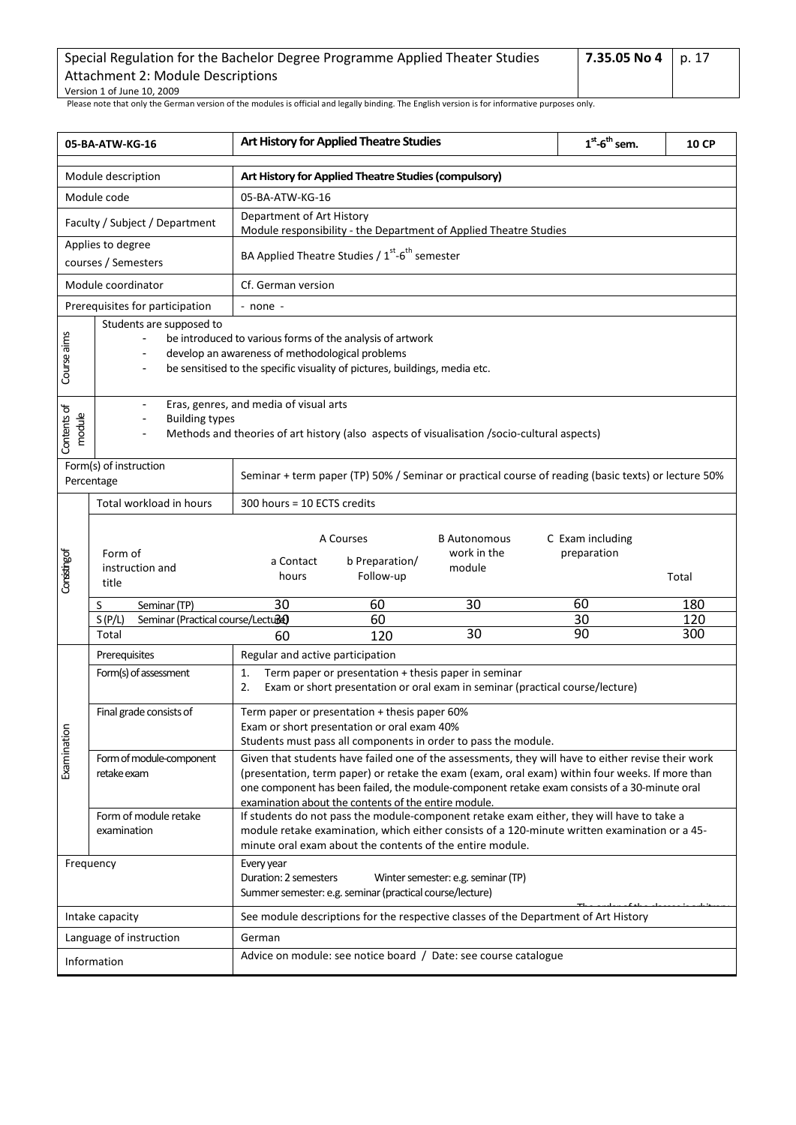| Special Regulation for the Bachelor Degree Programme Applied Theater Studies | 7.35.05 No 4   p. 17 |  |
|------------------------------------------------------------------------------|----------------------|--|
| Attachment 2: Module Descriptions                                            |                      |  |
| Version 1 of June 10, 2009                                                   |                      |  |

<span id="page-16-0"></span>

| 05-BA-ATW-KG-16                      |                                                      | Art History for Applied Theatre Studies                                                                                                                                                                                                                                                                                                                       |                                          |                                              | $1st$ -6 <sup>th</sup> sem.     | <b>10 CP</b>            |  |  |  |
|--------------------------------------|------------------------------------------------------|---------------------------------------------------------------------------------------------------------------------------------------------------------------------------------------------------------------------------------------------------------------------------------------------------------------------------------------------------------------|------------------------------------------|----------------------------------------------|---------------------------------|-------------------------|--|--|--|
| Module description                   |                                                      | Art History for Applied Theatre Studies (compulsory)                                                                                                                                                                                                                                                                                                          |                                          |                                              |                                 |                         |  |  |  |
| Module code                          |                                                      | 05-BA-ATW-KG-16                                                                                                                                                                                                                                                                                                                                               |                                          |                                              |                                 |                         |  |  |  |
| Faculty / Subject / Department       |                                                      | Department of Art History<br>Module responsibility - the Department of Applied Theatre Studies                                                                                                                                                                                                                                                                |                                          |                                              |                                 |                         |  |  |  |
|                                      | Applies to degree<br>courses / Semesters             | BA Applied Theatre Studies / 1 <sup>st</sup> -6 <sup>th</sup> semester                                                                                                                                                                                                                                                                                        |                                          |                                              |                                 |                         |  |  |  |
|                                      | Module coordinator                                   |                                                                                                                                                                                                                                                                                                                                                               | Cf. German version                       |                                              |                                 |                         |  |  |  |
|                                      | Prerequisites for participation                      | - none -                                                                                                                                                                                                                                                                                                                                                      |                                          |                                              |                                 |                         |  |  |  |
| Course aims                          | Students are supposed to                             | be introduced to various forms of the analysis of artwork<br>develop an awareness of methodological problems<br>be sensitised to the specific visuality of pictures, buildings, media etc.                                                                                                                                                                    |                                          |                                              |                                 |                         |  |  |  |
| Contents of<br>module                | <b>Building types</b>                                | Eras, genres, and media of visual arts<br>Methods and theories of art history (also aspects of visualisation /socio-cultural aspects)                                                                                                                                                                                                                         |                                          |                                              |                                 |                         |  |  |  |
| Form(s) of instruction<br>Percentage |                                                      | Seminar + term paper (TP) 50% / Seminar or practical course of reading (basic texts) or lecture 50%                                                                                                                                                                                                                                                           |                                          |                                              |                                 |                         |  |  |  |
|                                      | Total workload in hours                              | 300 hours = 10 ECTS credits                                                                                                                                                                                                                                                                                                                                   |                                          |                                              |                                 |                         |  |  |  |
| Considing of                         | Form of<br>instruction and<br>title                  | a Contact<br>hours                                                                                                                                                                                                                                                                                                                                            | A Courses<br>b Preparation/<br>Follow-up | <b>B</b> Autonomous<br>work in the<br>module | C Exam including<br>preparation | Total                   |  |  |  |
|                                      | Seminar (TP)<br>S                                    | 30                                                                                                                                                                                                                                                                                                                                                            | 60                                       | 30                                           | 60                              | 180                     |  |  |  |
|                                      | S(P/L)<br>Seminar (Practical course/Lecture<br>Total | 60                                                                                                                                                                                                                                                                                                                                                            | 60<br>120                                | 30                                           | 30<br>90                        | 120<br>$\overline{300}$ |  |  |  |
|                                      | Prerequisites                                        | Regular and active participation                                                                                                                                                                                                                                                                                                                              |                                          |                                              |                                 |                         |  |  |  |
|                                      | Form(s) of assessment                                | Term paper or presentation + thesis paper in seminar<br>1.<br>Exam or short presentation or oral exam in seminar (practical course/lecture)<br>2.                                                                                                                                                                                                             |                                          |                                              |                                 |                         |  |  |  |
|                                      | Final grade consists of                              | Term paper or presentation + thesis paper 60%<br>Exam or short presentation or oral exam 40%<br>Students must pass all components in order to pass the module.                                                                                                                                                                                                |                                          |                                              |                                 |                         |  |  |  |
| Examination                          | Form of module-component<br>retake exam              | Given that students have failed one of the assessments, they will have to either revise their work<br>(presentation, term paper) or retake the exam (exam, oral exam) within four weeks. If more than<br>one component has been failed, the module-component retake exam consists of a 30-minute oral<br>examination about the contents of the entire module. |                                          |                                              |                                 |                         |  |  |  |
|                                      | Form of module retake<br>examination                 | If students do not pass the module-component retake exam either, they will have to take a<br>module retake examination, which either consists of a 120-minute written examination or a 45-<br>minute oral exam about the contents of the entire module.                                                                                                       |                                          |                                              |                                 |                         |  |  |  |
| Frequency                            |                                                      | Every year<br>Duration: 2 semesters<br>Winter semester: e.g. seminar (TP)<br>Summer semester: e.g. seminar (practical course/lecture)                                                                                                                                                                                                                         |                                          |                                              |                                 |                         |  |  |  |
| Intake capacity                      |                                                      | See module descriptions for the respective classes of the Department of Art History                                                                                                                                                                                                                                                                           |                                          |                                              |                                 |                         |  |  |  |
| Language of instruction              |                                                      | German                                                                                                                                                                                                                                                                                                                                                        |                                          |                                              |                                 |                         |  |  |  |
| Information                          |                                                      | Advice on module: see notice board / Date: see course catalogue                                                                                                                                                                                                                                                                                               |                                          |                                              |                                 |                         |  |  |  |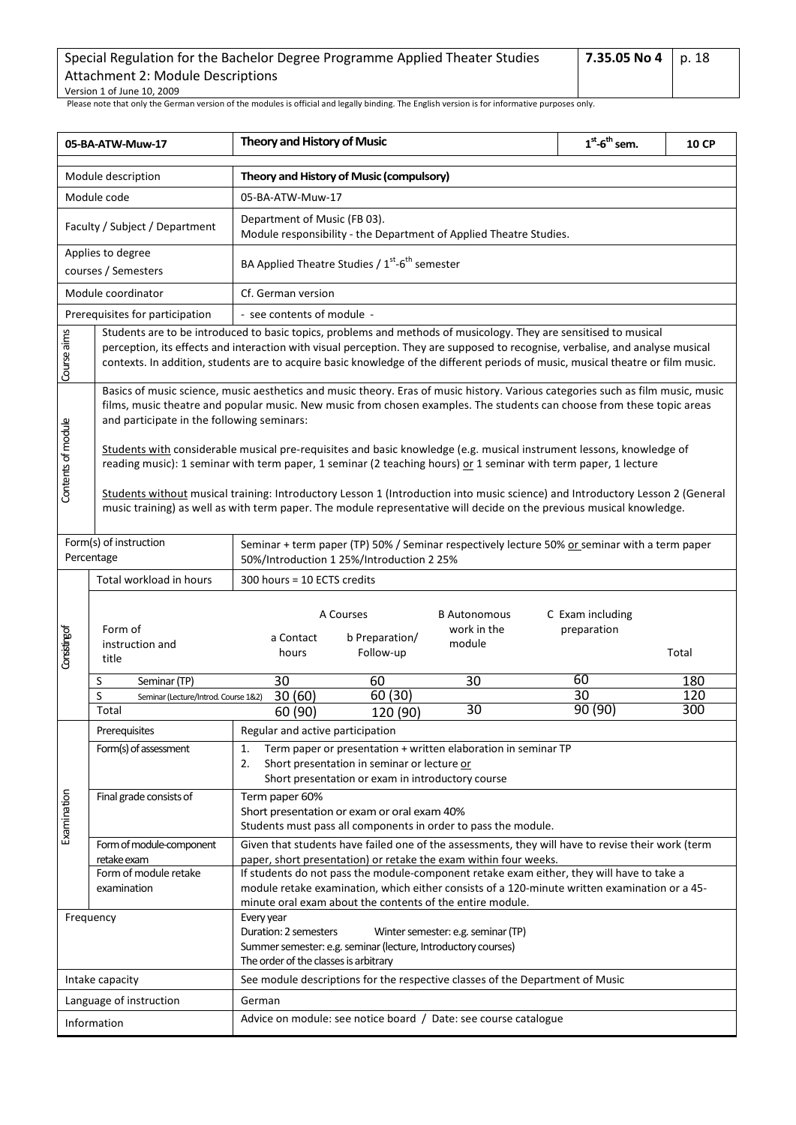| Special Regulation for the Bachelor Degree Programme Applied Theater Studies | 7.35.05 No 4   p. 18 |  |
|------------------------------------------------------------------------------|----------------------|--|
| Attachment 2: Module Descriptions                                            |                      |  |
| Version 1 of June 10, 2009                                                   |                      |  |

<span id="page-17-0"></span>

| 05-BA-ATW-Muw-17                                                                                                                                                                                                                                      |                                                                                                                                                                                                                                                                                                         | <b>Theory and History of Music</b>                                                                                                                                                                                                                                                                                                                                                      |                                           |                                                                                               | $1st$ -6 <sup>th</sup> sem.     | <b>10 CP</b> |  |  |
|-------------------------------------------------------------------------------------------------------------------------------------------------------------------------------------------------------------------------------------------------------|---------------------------------------------------------------------------------------------------------------------------------------------------------------------------------------------------------------------------------------------------------------------------------------------------------|-----------------------------------------------------------------------------------------------------------------------------------------------------------------------------------------------------------------------------------------------------------------------------------------------------------------------------------------------------------------------------------------|-------------------------------------------|-----------------------------------------------------------------------------------------------|---------------------------------|--------------|--|--|
| Module description                                                                                                                                                                                                                                    |                                                                                                                                                                                                                                                                                                         | Theory and History of Music (compulsory)                                                                                                                                                                                                                                                                                                                                                |                                           |                                                                                               |                                 |              |  |  |
| Module code                                                                                                                                                                                                                                           |                                                                                                                                                                                                                                                                                                         | 05-BA-ATW-Muw-17                                                                                                                                                                                                                                                                                                                                                                        |                                           |                                                                                               |                                 |              |  |  |
| Faculty / Subject / Department                                                                                                                                                                                                                        |                                                                                                                                                                                                                                                                                                         | Department of Music (FB 03).<br>Module responsibility - the Department of Applied Theatre Studies.                                                                                                                                                                                                                                                                                      |                                           |                                                                                               |                                 |              |  |  |
|                                                                                                                                                                                                                                                       | Applies to degree<br>courses / Semesters                                                                                                                                                                                                                                                                | BA Applied Theatre Studies / $1^{st}$ -6 <sup>th</sup> semester                                                                                                                                                                                                                                                                                                                         |                                           |                                                                                               |                                 |              |  |  |
|                                                                                                                                                                                                                                                       | Module coordinator                                                                                                                                                                                                                                                                                      | Cf. German version                                                                                                                                                                                                                                                                                                                                                                      |                                           |                                                                                               |                                 |              |  |  |
|                                                                                                                                                                                                                                                       | Prerequisites for participation                                                                                                                                                                                                                                                                         | - see contents of module -                                                                                                                                                                                                                                                                                                                                                              |                                           |                                                                                               |                                 |              |  |  |
| Course aims                                                                                                                                                                                                                                           |                                                                                                                                                                                                                                                                                                         | Students are to be introduced to basic topics, problems and methods of musicology. They are sensitised to musical<br>perception, its effects and interaction with visual perception. They are supposed to recognise, verbalise, and analyse musical<br>contexts. In addition, students are to acquire basic knowledge of the different periods of music, musical theatre or film music. |                                           |                                                                                               |                                 |              |  |  |
|                                                                                                                                                                                                                                                       | Basics of music science, music aesthetics and music theory. Eras of music history. Various categories such as film music, music<br>films, music theatre and popular music. New music from chosen examples. The students can choose from these topic areas<br>and participate in the following seminars: |                                                                                                                                                                                                                                                                                                                                                                                         |                                           |                                                                                               |                                 |              |  |  |
| Contents of module                                                                                                                                                                                                                                    | Students with considerable musical pre-requisites and basic knowledge (e.g. musical instrument lessons, knowledge of<br>reading music): 1 seminar with term paper, 1 seminar (2 teaching hours) or 1 seminar with term paper, 1 lecture                                                                 |                                                                                                                                                                                                                                                                                                                                                                                         |                                           |                                                                                               |                                 |              |  |  |
| Students without musical training: Introductory Lesson 1 (Introduction into music science) and Introductory Lesson 2 (General<br>music training) as well as with term paper. The module representative will decide on the previous musical knowledge. |                                                                                                                                                                                                                                                                                                         |                                                                                                                                                                                                                                                                                                                                                                                         |                                           |                                                                                               |                                 |              |  |  |
|                                                                                                                                                                                                                                                       | Form(s) of instruction<br>Percentage                                                                                                                                                                                                                                                                    |                                                                                                                                                                                                                                                                                                                                                                                         | 50%/Introduction 1 25%/Introduction 2 25% | Seminar + term paper (TP) 50% / Seminar respectively lecture 50% or seminar with a term paper |                                 |              |  |  |
|                                                                                                                                                                                                                                                       | Total workload in hours                                                                                                                                                                                                                                                                                 | 300 hours = 10 ECTS credits                                                                                                                                                                                                                                                                                                                                                             |                                           |                                                                                               |                                 |              |  |  |
| Consisting of                                                                                                                                                                                                                                         | Form of<br>instruction and<br>title                                                                                                                                                                                                                                                                     | a Contact<br>hours                                                                                                                                                                                                                                                                                                                                                                      | A Courses<br>b Preparation/<br>Follow-up  | <b>B</b> Autonomous<br>work in the<br>module                                                  | C Exam including<br>preparation | Total        |  |  |
|                                                                                                                                                                                                                                                       | Seminar (TP)<br>S                                                                                                                                                                                                                                                                                       | 30                                                                                                                                                                                                                                                                                                                                                                                      | 60                                        | 30                                                                                            | 60                              | 180          |  |  |
|                                                                                                                                                                                                                                                       | S<br>Seminar (Lecture/Introd. Course 1&2)                                                                                                                                                                                                                                                               | 30(60)                                                                                                                                                                                                                                                                                                                                                                                  | $\overline{60}$ (30)                      | 30                                                                                            | 30<br>90 (90)                   | 120<br>300   |  |  |
|                                                                                                                                                                                                                                                       | Total                                                                                                                                                                                                                                                                                                   | 60 (90)                                                                                                                                                                                                                                                                                                                                                                                 | 120 (90)                                  |                                                                                               |                                 |              |  |  |
|                                                                                                                                                                                                                                                       | Prerequisites<br>Form(s) of assessment                                                                                                                                                                                                                                                                  | Regular and active participation<br>Term paper or presentation + written elaboration in seminar TP<br>1.<br>2.<br>Short presentation in seminar or lecture or<br>Short presentation or exam in introductory course                                                                                                                                                                      |                                           |                                                                                               |                                 |              |  |  |
| Examination                                                                                                                                                                                                                                           | Final grade consists of                                                                                                                                                                                                                                                                                 | Term paper 60%<br>Short presentation or exam or oral exam 40%<br>Students must pass all components in order to pass the module.                                                                                                                                                                                                                                                         |                                           |                                                                                               |                                 |              |  |  |
|                                                                                                                                                                                                                                                       | Form of module-component                                                                                                                                                                                                                                                                                | Given that students have failed one of the assessments, they will have to revise their work (term                                                                                                                                                                                                                                                                                       |                                           |                                                                                               |                                 |              |  |  |
|                                                                                                                                                                                                                                                       | retake exam<br>Form of module retake<br>examination                                                                                                                                                                                                                                                     | paper, short presentation) or retake the exam within four weeks.<br>If students do not pass the module-component retake exam either, they will have to take a<br>module retake examination, which either consists of a 120-minute written examination or a 45-<br>minute oral exam about the contents of the entire module.                                                             |                                           |                                                                                               |                                 |              |  |  |
| Frequency                                                                                                                                                                                                                                             |                                                                                                                                                                                                                                                                                                         | Every year<br>Duration: 2 semesters<br>Winter semester: e.g. seminar (TP)<br>Summer semester: e.g. seminar (lecture, Introductory courses)<br>The order of the classes is arbitrary                                                                                                                                                                                                     |                                           |                                                                                               |                                 |              |  |  |
| Intake capacity                                                                                                                                                                                                                                       |                                                                                                                                                                                                                                                                                                         | See module descriptions for the respective classes of the Department of Music                                                                                                                                                                                                                                                                                                           |                                           |                                                                                               |                                 |              |  |  |
| Language of instruction                                                                                                                                                                                                                               |                                                                                                                                                                                                                                                                                                         | German                                                                                                                                                                                                                                                                                                                                                                                  |                                           |                                                                                               |                                 |              |  |  |
| Information                                                                                                                                                                                                                                           |                                                                                                                                                                                                                                                                                                         | Advice on module: see notice board / Date: see course catalogue                                                                                                                                                                                                                                                                                                                         |                                           |                                                                                               |                                 |              |  |  |